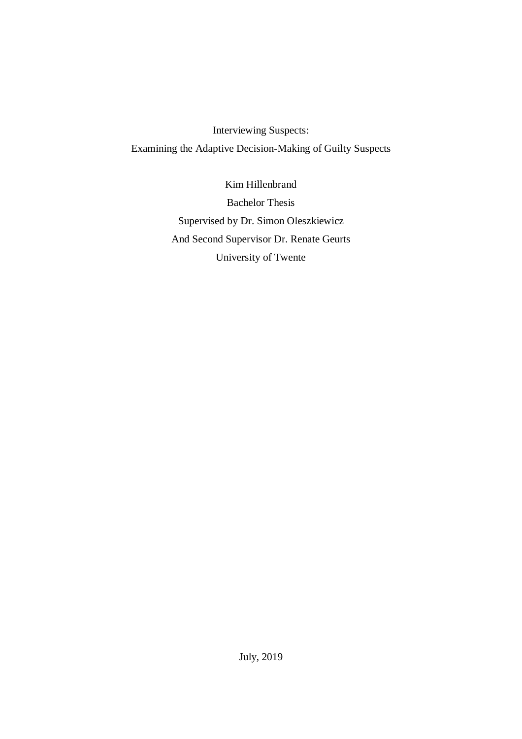Interviewing Suspects: Examining the Adaptive Decision-Making of Guilty Suspects

> Kim Hillenbrand Bachelor Thesis Supervised by Dr. Simon Oleszkiewicz And Second Supervisor Dr. Renate Geurts University of Twente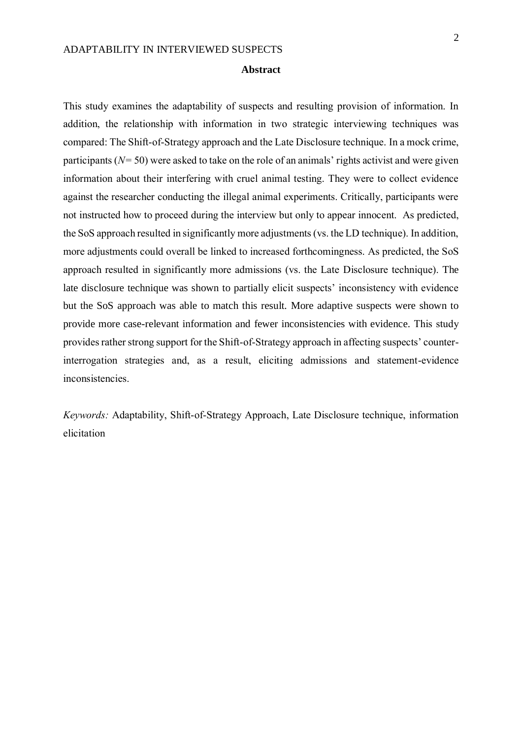#### **Abstract**

This study examines the adaptability of suspects and resulting provision of information. In addition, the relationship with information in two strategic interviewing techniques was compared: The Shift-of-Strategy approach and the Late Disclosure technique. In a mock crime, participants (*N=* 50) were asked to take on the role of an animals' rights activist and were given information about their interfering with cruel animal testing. They were to collect evidence against the researcher conducting the illegal animal experiments. Critically, participants were not instructed how to proceed during the interview but only to appear innocent. As predicted, the SoS approach resulted in significantly more adjustments (vs. the LD technique). In addition, more adjustments could overall be linked to increased forthcomingness. As predicted, the SoS approach resulted in significantly more admissions (vs. the Late Disclosure technique). The late disclosure technique was shown to partially elicit suspects' inconsistency with evidence but the SoS approach was able to match this result. More adaptive suspects were shown to provide more case-relevant information and fewer inconsistencies with evidence. This study provides rather strong support for the Shift-of-Strategy approach in affecting suspects' counterinterrogation strategies and, as a result, eliciting admissions and statement-evidence inconsistencies.

*Keywords:* Adaptability, Shift-of-Strategy Approach, Late Disclosure technique, information elicitation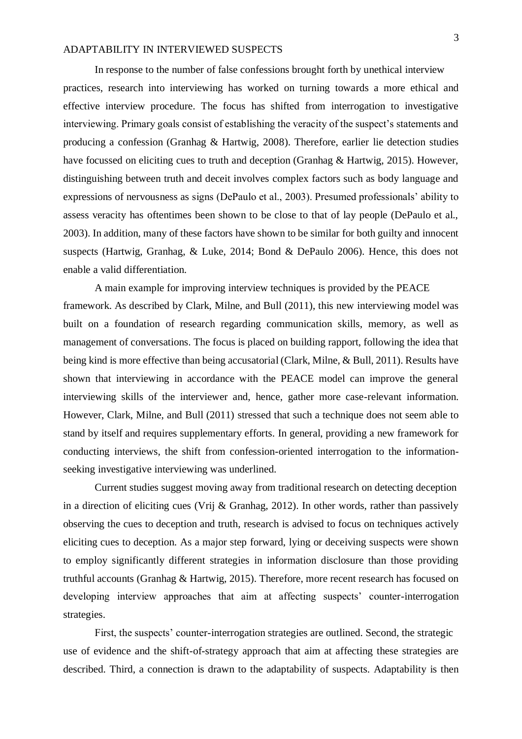In response to the number of false confessions brought forth by unethical interview practices, research into interviewing has worked on turning towards a more ethical and effective interview procedure. The focus has shifted from interrogation to investigative interviewing. Primary goals consist of establishing the veracity of the suspect's statements and producing a confession (Granhag & Hartwig, 2008). Therefore, earlier lie detection studies have focussed on eliciting cues to truth and deception (Granhag & Hartwig, 2015). However, distinguishing between truth and deceit involves complex factors such as body language and expressions of nervousness as signs (DePaulo et al., 2003). Presumed professionals' ability to assess veracity has oftentimes been shown to be close to that of lay people (DePaulo et al., 2003). In addition, many of these factors have shown to be similar for both guilty and innocent suspects (Hartwig, Granhag, & Luke, 2014; Bond & DePaulo 2006). Hence, this does not enable a valid differentiation.

A main example for improving interview techniques is provided by the PEACE framework. As described by Clark, Milne, and Bull (2011), this new interviewing model was built on a foundation of research regarding communication skills, memory, as well as management of conversations. The focus is placed on building rapport, following the idea that being kind is more effective than being accusatorial (Clark, Milne, & Bull, 2011). Results have shown that interviewing in accordance with the PEACE model can improve the general interviewing skills of the interviewer and, hence, gather more case-relevant information. However, Clark, Milne, and Bull (2011) stressed that such a technique does not seem able to stand by itself and requires supplementary efforts*.* In general, providing a new framework for conducting interviews, the shift from confession-oriented interrogation to the informationseeking investigative interviewing was underlined.

Current studies suggest moving away from traditional research on detecting deception in a direction of eliciting cues (Vrij & Granhag, 2012). In other words, rather than passively observing the cues to deception and truth, research is advised to focus on techniques actively eliciting cues to deception. As a major step forward, lying or deceiving suspects were shown to employ significantly different strategies in information disclosure than those providing truthful accounts (Granhag & Hartwig, 2015). Therefore, more recent research has focused on developing interview approaches that aim at affecting suspects' counter-interrogation strategies.

First, the suspects' counter-interrogation strategies are outlined. Second, the strategic use of evidence and the shift-of-strategy approach that aim at affecting these strategies are described. Third, a connection is drawn to the adaptability of suspects. Adaptability is then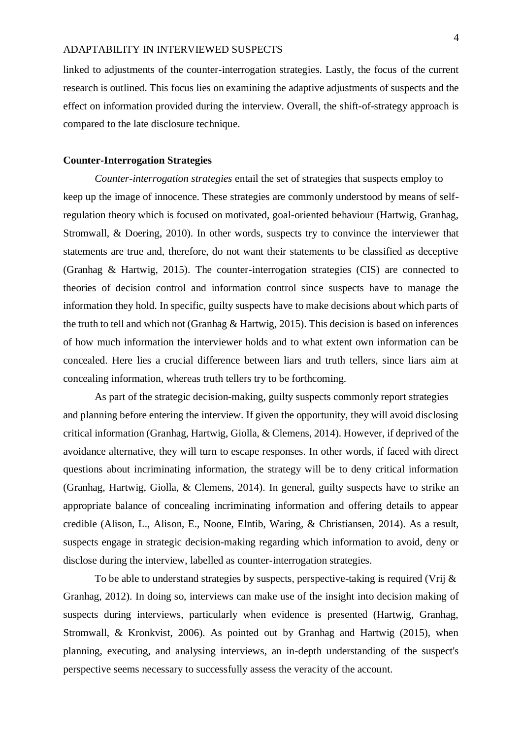linked to adjustments of the counter-interrogation strategies. Lastly, the focus of the current research is outlined. This focus lies on examining the adaptive adjustments of suspects and the effect on information provided during the interview. Overall, the shift-of-strategy approach is compared to the late disclosure technique.

#### **Counter-Interrogation Strategies**

*Counter-interrogation strategies* entail the set of strategies that suspects employ to keep up the image of innocence. These strategies are commonly understood by means of selfregulation theory which is focused on motivated, goal-oriented behaviour (Hartwig, Granhag, Stromwall, & Doering, 2010). In other words, suspects try to convince the interviewer that statements are true and, therefore, do not want their statements to be classified as deceptive (Granhag & Hartwig, 2015). The counter-interrogation strategies (CIS) are connected to theories of decision control and information control since suspects have to manage the information they hold. In specific, guilty suspects have to make decisions about which parts of the truth to tell and which not (Granhag & Hartwig, 2015). This decision is based on inferences of how much information the interviewer holds and to what extent own information can be concealed. Here lies a crucial difference between liars and truth tellers, since liars aim at concealing information, whereas truth tellers try to be forthcoming.

As part of the strategic decision-making, guilty suspects commonly report strategies and planning before entering the interview. If given the opportunity, they will avoid disclosing critical information (Granhag, Hartwig, Giolla, & Clemens, 2014). However, if deprived of the avoidance alternative, they will turn to escape responses. In other words, if faced with direct questions about incriminating information, the strategy will be to deny critical information (Granhag, Hartwig, Giolla, & Clemens, 2014). In general, guilty suspects have to strike an appropriate balance of concealing incriminating information and offering details to appear credible (Alison, L., Alison, E., Noone, Elntib, Waring, & Christiansen, 2014). As a result, suspects engage in strategic decision-making regarding which information to avoid, deny or disclose during the interview, labelled as counter-interrogation strategies.

To be able to understand strategies by suspects, perspective-taking is required (Vrij  $\&$ Granhag, 2012). In doing so, interviews can make use of the insight into decision making of suspects during interviews, particularly when evidence is presented (Hartwig, Granhag, Stromwall, & Kronkvist, 2006). As pointed out by Granhag and Hartwig (2015), when planning, executing, and analysing interviews, an in-depth understanding of the suspect's perspective seems necessary to successfully assess the veracity of the account.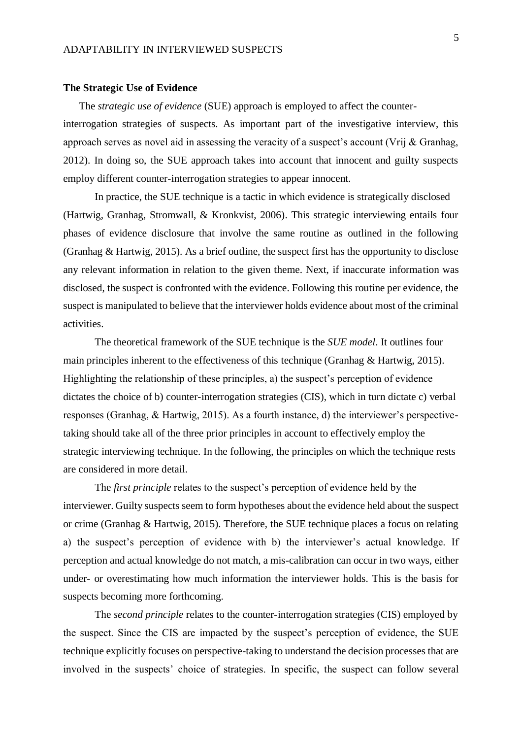#### **The Strategic Use of Evidence**

The *strategic use of evidence* (SUE) approach is employed to affect the counter-

interrogation strategies of suspects. As important part of the investigative interview, this approach serves as novel aid in assessing the veracity of a suspect's account (Vrij & Granhag, 2012). In doing so, the SUE approach takes into account that innocent and guilty suspects employ different counter-interrogation strategies to appear innocent.

In practice, the SUE technique is a tactic in which evidence is strategically disclosed (Hartwig, Granhag, Stromwall, & Kronkvist, 2006). This strategic interviewing entails four phases of evidence disclosure that involve the same routine as outlined in the following (Granhag & Hartwig, 2015). As a brief outline, the suspect first has the opportunity to disclose any relevant information in relation to the given theme. Next, if inaccurate information was disclosed, the suspect is confronted with the evidence. Following this routine per evidence, the suspect is manipulated to believe that the interviewer holds evidence about most of the criminal activities.

The theoretical framework of the SUE technique is the *SUE model*. It outlines four main principles inherent to the effectiveness of this technique (Granhag & Hartwig, 2015). Highlighting the relationship of these principles, a) the suspect's perception of evidence dictates the choice of b) counter-interrogation strategies (CIS), which in turn dictate c) verbal responses (Granhag, & Hartwig, 2015). As a fourth instance, d) the interviewer's perspectivetaking should take all of the three prior principles in account to effectively employ the strategic interviewing technique. In the following, the principles on which the technique rests are considered in more detail.

The *first principle* relates to the suspect's perception of evidence held by the interviewer. Guilty suspects seem to form hypotheses about the evidence held about the suspect or crime (Granhag & Hartwig, 2015). Therefore, the SUE technique places a focus on relating a) the suspect's perception of evidence with b) the interviewer's actual knowledge. If perception and actual knowledge do not match, a mis-calibration can occur in two ways, either under- or overestimating how much information the interviewer holds. This is the basis for suspects becoming more forthcoming.

The *second principle* relates to the counter-interrogation strategies (CIS) employed by the suspect. Since the CIS are impacted by the suspect's perception of evidence, the SUE technique explicitly focuses on perspective-taking to understand the decision processes that are involved in the suspects' choice of strategies. In specific, the suspect can follow several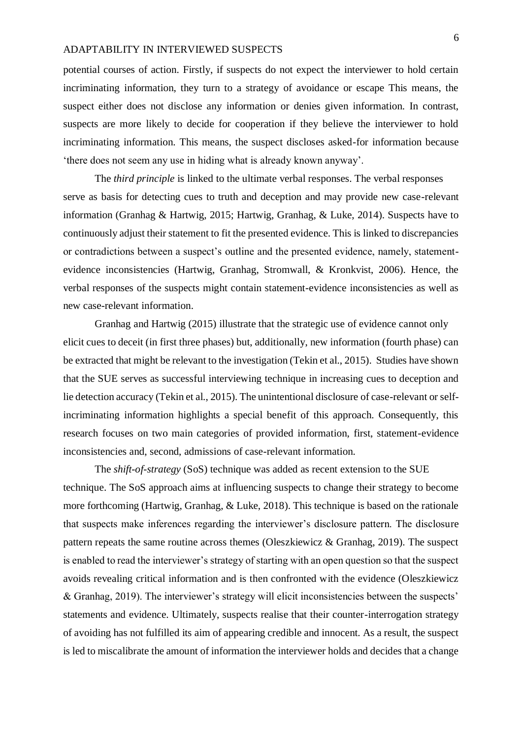potential courses of action. Firstly, if suspects do not expect the interviewer to hold certain incriminating information, they turn to a strategy of avoidance or escape This means, the suspect either does not disclose any information or denies given information. In contrast, suspects are more likely to decide for cooperation if they believe the interviewer to hold incriminating information. This means, the suspect discloses asked-for information because 'there does not seem any use in hiding what is already known anyway'.

The *third principle* is linked to the ultimate verbal responses. The verbal responses serve as basis for detecting cues to truth and deception and may provide new case-relevant information (Granhag & Hartwig, 2015; Hartwig, Granhag, & Luke, 2014). Suspects have to continuously adjust their statement to fit the presented evidence. This is linked to discrepancies or contradictions between a suspect's outline and the presented evidence, namely, statementevidence inconsistencies (Hartwig, Granhag, Stromwall, & Kronkvist, 2006). Hence, the verbal responses of the suspects might contain statement-evidence inconsistencies as well as new case-relevant information.

Granhag and Hartwig (2015) illustrate that the strategic use of evidence cannot only elicit cues to deceit (in first three phases) but, additionally, new information (fourth phase) can be extracted that might be relevant to the investigation (Tekin et al., 2015). Studies have shown that the SUE serves as successful interviewing technique in increasing cues to deception and lie detection accuracy (Tekin et al., 2015). The unintentional disclosure of case-relevant or selfincriminating information highlights a special benefit of this approach. Consequently, this research focuses on two main categories of provided information, first, statement-evidence inconsistencies and, second, admissions of case-relevant information.

The *shift-of-strategy* (SoS) technique was added as recent extension to the SUE technique. The SoS approach aims at influencing suspects to change their strategy to become more forthcoming (Hartwig, Granhag, & Luke, 2018). This technique is based on the rationale that suspects make inferences regarding the interviewer's disclosure pattern. The disclosure pattern repeats the same routine across themes (Oleszkiewicz & Granhag, 2019). The suspect is enabled to read the interviewer's strategy of starting with an open question so that the suspect avoids revealing critical information and is then confronted with the evidence (Oleszkiewicz & Granhag, 2019). The interviewer's strategy will elicit inconsistencies between the suspects' statements and evidence. Ultimately, suspects realise that their counter-interrogation strategy of avoiding has not fulfilled its aim of appearing credible and innocent. As a result, the suspect is led to miscalibrate the amount of information the interviewer holds and decides that a change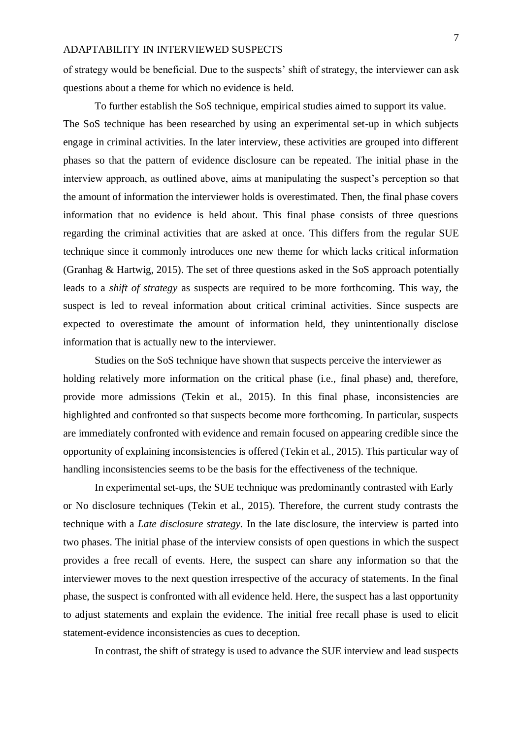of strategy would be beneficial. Due to the suspects' shift of strategy, the interviewer can ask questions about a theme for which no evidence is held.

To further establish the SoS technique, empirical studies aimed to support its value. The SoS technique has been researched by using an experimental set-up in which subjects engage in criminal activities. In the later interview, these activities are grouped into different phases so that the pattern of evidence disclosure can be repeated. The initial phase in the interview approach, as outlined above, aims at manipulating the suspect's perception so that the amount of information the interviewer holds is overestimated. Then, the final phase covers information that no evidence is held about. This final phase consists of three questions regarding the criminal activities that are asked at once. This differs from the regular SUE technique since it commonly introduces one new theme for which lacks critical information (Granhag & Hartwig, 2015). The set of three questions asked in the SoS approach potentially leads to a *shift of strategy* as suspects are required to be more forthcoming. This way, the suspect is led to reveal information about critical criminal activities. Since suspects are expected to overestimate the amount of information held, they unintentionally disclose information that is actually new to the interviewer.

Studies on the SoS technique have shown that suspects perceive the interviewer as holding relatively more information on the critical phase (i.e., final phase) and, therefore, provide more admissions (Tekin et al., 2015). In this final phase, inconsistencies are highlighted and confronted so that suspects become more forthcoming. In particular, suspects are immediately confronted with evidence and remain focused on appearing credible since the opportunity of explaining inconsistencies is offered (Tekin et al., 2015). This particular way of handling inconsistencies seems to be the basis for the effectiveness of the technique.

In experimental set-ups, the SUE technique was predominantly contrasted with Early or No disclosure techniques (Tekin et al., 2015). Therefore, the current study contrasts the technique with a *Late disclosure strategy.* In the late disclosure, the interview is parted into two phases. The initial phase of the interview consists of open questions in which the suspect provides a free recall of events. Here, the suspect can share any information so that the interviewer moves to the next question irrespective of the accuracy of statements. In the final phase, the suspect is confronted with all evidence held. Here, the suspect has a last opportunity to adjust statements and explain the evidence. The initial free recall phase is used to elicit statement-evidence inconsistencies as cues to deception.

In contrast, the shift of strategy is used to advance the SUE interview and lead suspects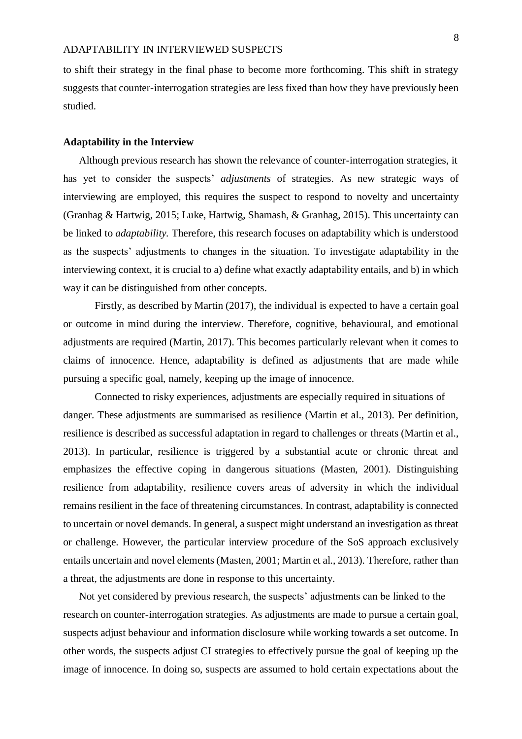to shift their strategy in the final phase to become more forthcoming. This shift in strategy suggests that counter-interrogation strategies are less fixed than how they have previously been studied.

#### **Adaptability in the Interview**

Although previous research has shown the relevance of counter-interrogation strategies, it has yet to consider the suspects' *adjustments* of strategies. As new strategic ways of interviewing are employed, this requires the suspect to respond to novelty and uncertainty (Granhag & Hartwig, 2015; Luke, Hartwig, Shamash, & Granhag, 2015). This uncertainty can be linked to *adaptability.* Therefore, this research focuses on adaptability which is understood as the suspects' adjustments to changes in the situation. To investigate adaptability in the interviewing context, it is crucial to a) define what exactly adaptability entails, and b) in which way it can be distinguished from other concepts.

Firstly, as described by Martin (2017), the individual is expected to have a certain goal or outcome in mind during the interview. Therefore, cognitive, behavioural, and emotional adjustments are required (Martin, 2017). This becomes particularly relevant when it comes to claims of innocence. Hence, adaptability is defined as adjustments that are made while pursuing a specific goal, namely, keeping up the image of innocence.

Connected to risky experiences, adjustments are especially required in situations of danger. These adjustments are summarised as resilience (Martin et al., 2013). Per definition, resilience is described as successful adaptation in regard to challenges or threats (Martin et al., 2013). In particular, resilience is triggered by a substantial acute or chronic threat and emphasizes the effective coping in dangerous situations (Masten, 2001). Distinguishing resilience from adaptability, resilience covers areas of adversity in which the individual remains resilient in the face of threatening circumstances. In contrast, adaptability is connected to uncertain or novel demands. In general, a suspect might understand an investigation as threat or challenge. However, the particular interview procedure of the SoS approach exclusively entails uncertain and novel elements (Masten, 2001; Martin et al., 2013). Therefore, rather than a threat, the adjustments are done in response to this uncertainty.

Not yet considered by previous research, the suspects' adjustments can be linked to the research on counter-interrogation strategies. As adjustments are made to pursue a certain goal, suspects adjust behaviour and information disclosure while working towards a set outcome. In other words, the suspects adjust CI strategies to effectively pursue the goal of keeping up the image of innocence. In doing so, suspects are assumed to hold certain expectations about the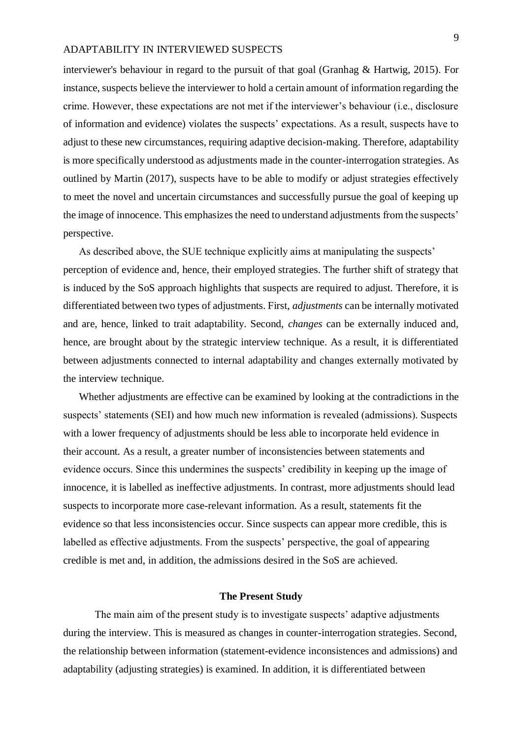interviewer's behaviour in regard to the pursuit of that goal (Granhag & Hartwig, 2015). For instance, suspects believe the interviewer to hold a certain amount of information regarding the crime. However, these expectations are not met if the interviewer's behaviour (i.e., disclosure of information and evidence) violates the suspects' expectations. As a result, suspects have to adjust to these new circumstances, requiring adaptive decision-making. Therefore, adaptability is more specifically understood as adjustments made in the counter-interrogation strategies. As outlined by Martin (2017), suspects have to be able to modify or adjust strategies effectively to meet the novel and uncertain circumstances and successfully pursue the goal of keeping up the image of innocence. This emphasizes the need to understand adjustments from the suspects' perspective.

As described above, the SUE technique explicitly aims at manipulating the suspects' perception of evidence and, hence, their employed strategies. The further shift of strategy that is induced by the SoS approach highlights that suspects are required to adjust. Therefore, it is differentiated between two types of adjustments. First, *adjustments* can be internally motivated and are, hence, linked to trait adaptability. Second, *changes* can be externally induced and, hence, are brought about by the strategic interview technique. As a result, it is differentiated between adjustments connected to internal adaptability and changes externally motivated by the interview technique.

Whether adjustments are effective can be examined by looking at the contradictions in the suspects' statements (SEI) and how much new information is revealed (admissions). Suspects with a lower frequency of adjustments should be less able to incorporate held evidence in their account. As a result, a greater number of inconsistencies between statements and evidence occurs. Since this undermines the suspects' credibility in keeping up the image of innocence, it is labelled as ineffective adjustments. In contrast, more adjustments should lead suspects to incorporate more case-relevant information. As a result, statements fit the evidence so that less inconsistencies occur. Since suspects can appear more credible, this is labelled as effective adjustments. From the suspects' perspective, the goal of appearing credible is met and, in addition, the admissions desired in the SoS are achieved.

#### **The Present Study**

The main aim of the present study is to investigate suspects' adaptive adjustments during the interview. This is measured as changes in counter-interrogation strategies. Second, the relationship between information (statement-evidence inconsistences and admissions) and adaptability (adjusting strategies) is examined. In addition, it is differentiated between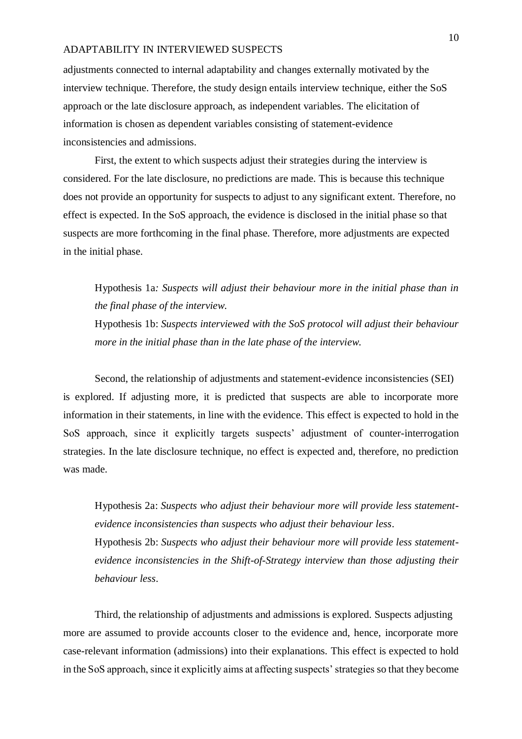adjustments connected to internal adaptability and changes externally motivated by the interview technique. Therefore, the study design entails interview technique, either the SoS approach or the late disclosure approach, as independent variables. The elicitation of information is chosen as dependent variables consisting of statement-evidence inconsistencies and admissions.

First, the extent to which suspects adjust their strategies during the interview is considered. For the late disclosure, no predictions are made. This is because this technique does not provide an opportunity for suspects to adjust to any significant extent. Therefore, no effect is expected. In the SoS approach, the evidence is disclosed in the initial phase so that suspects are more forthcoming in the final phase. Therefore, more adjustments are expected in the initial phase.

## Hypothesis 1a*: Suspects will adjust their behaviour more in the initial phase than in the final phase of the interview.*

Hypothesis 1b: *Suspects interviewed with the SoS protocol will adjust their behaviour more in the initial phase than in the late phase of the interview.* 

Second, the relationship of adjustments and statement-evidence inconsistencies (SEI) is explored. If adjusting more, it is predicted that suspects are able to incorporate more information in their statements, in line with the evidence. This effect is expected to hold in the SoS approach, since it explicitly targets suspects' adjustment of counter-interrogation strategies. In the late disclosure technique, no effect is expected and, therefore, no prediction was made.

Hypothesis 2a: *Suspects who adjust their behaviour more will provide less statementevidence inconsistencies than suspects who adjust their behaviour less*.

Hypothesis 2b: *Suspects who adjust their behaviour more will provide less statementevidence inconsistencies in the Shift-of-Strategy interview than those adjusting their behaviour less*.

Third, the relationship of adjustments and admissions is explored. Suspects adjusting more are assumed to provide accounts closer to the evidence and, hence, incorporate more case-relevant information (admissions) into their explanations. This effect is expected to hold in the SoS approach, since it explicitly aims at affecting suspects' strategies so that they become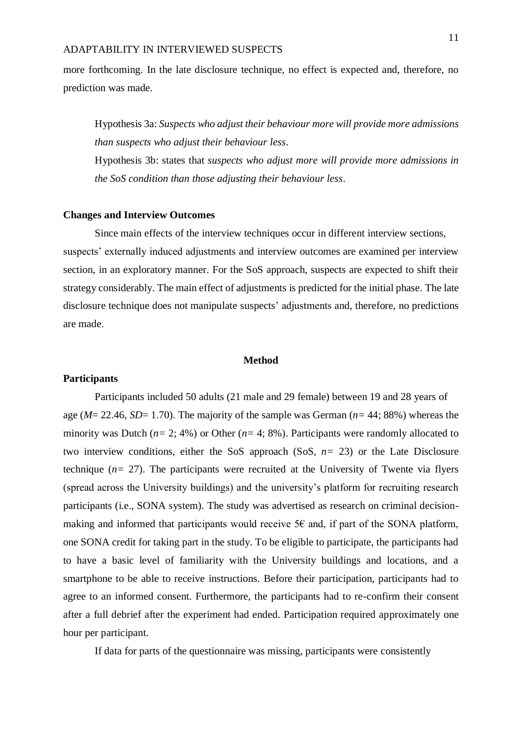more forthcoming. In the late disclosure technique, no effect is expected and, therefore, no prediction was made.

Hypothesis 3a: *Suspects who adjust their behaviour more will provide more admissions than suspects who adjust their behaviour less*.

Hypothesis 3b: states that *suspects who adjust more will provide more admissions in the SoS condition than those adjusting their behaviour less*.

#### **Changes and Interview Outcomes**

Since main effects of the interview techniques occur in different interview sections, suspects' externally induced adjustments and interview outcomes are examined per interview section, in an exploratory manner. For the SoS approach, suspects are expected to shift their strategy considerably. The main effect of adjustments is predicted for the initial phase. The late disclosure technique does not manipulate suspects' adjustments and, therefore, no predictions are made.

### **Method**

## **Participants**

Participants included 50 adults (21 male and 29 female) between 19 and 28 years of age (*M*= 22.46, *SD*= 1.70). The majority of the sample was German (*n=* 44; 88%) whereas the minority was Dutch (*n=* 2; 4%) or Other (*n=* 4; 8%). Participants were randomly allocated to two interview conditions, either the SoS approach (SoS, *n=* 23) or the Late Disclosure technique  $(n= 27)$ . The participants were recruited at the University of Twente via flyers (spread across the University buildings) and the university's platform for recruiting research participants (i.e., SONA system). The study was advertised as research on criminal decisionmaking and informed that participants would receive  $5\epsilon$  and, if part of the SONA platform, one SONA credit for taking part in the study. To be eligible to participate, the participants had to have a basic level of familiarity with the University buildings and locations, and a smartphone to be able to receive instructions. Before their participation, participants had to agree to an informed consent. Furthermore, the participants had to re-confirm their consent after a full debrief after the experiment had ended. Participation required approximately one hour per participant.

If data for parts of the questionnaire was missing, participants were consistently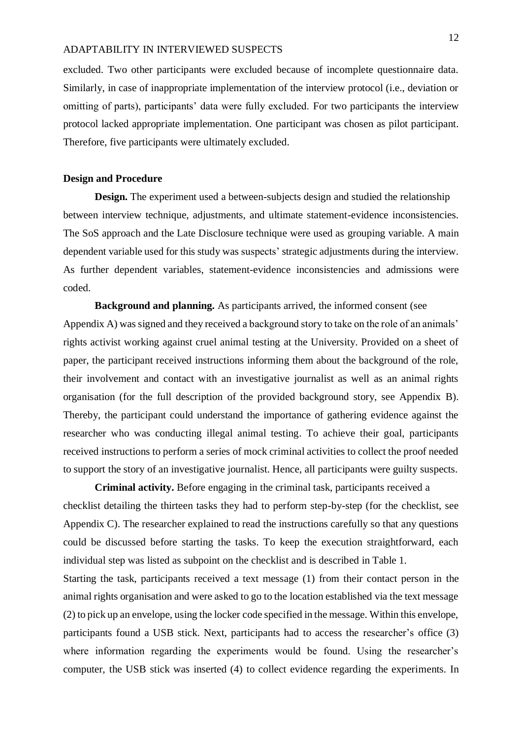excluded. Two other participants were excluded because of incomplete questionnaire data. Similarly, in case of inappropriate implementation of the interview protocol (i.e., deviation or omitting of parts), participants' data were fully excluded. For two participants the interview protocol lacked appropriate implementation. One participant was chosen as pilot participant. Therefore, five participants were ultimately excluded.

## **Design and Procedure**

**Design.** The experiment used a between-subjects design and studied the relationship between interview technique, adjustments, and ultimate statement-evidence inconsistencies. The SoS approach and the Late Disclosure technique were used as grouping variable. A main dependent variable used for this study was suspects' strategic adjustments during the interview. As further dependent variables, statement-evidence inconsistencies and admissions were coded.

**Background and planning.** As participants arrived, the informed consent (see Appendix A) was signed and they received a background story to take on the role of an animals' rights activist working against cruel animal testing at the University. Provided on a sheet of paper, the participant received instructions informing them about the background of the role, their involvement and contact with an investigative journalist as well as an animal rights organisation (for the full description of the provided background story, see Appendix B). Thereby, the participant could understand the importance of gathering evidence against the researcher who was conducting illegal animal testing. To achieve their goal, participants received instructions to perform a series of mock criminal activities to collect the proof needed to support the story of an investigative journalist. Hence, all participants were guilty suspects.

**Criminal activity.** Before engaging in the criminal task, participants received a checklist detailing the thirteen tasks they had to perform step-by-step (for the checklist, see Appendix C). The researcher explained to read the instructions carefully so that any questions could be discussed before starting the tasks. To keep the execution straightforward, each individual step was listed as subpoint on the checklist and is described in Table 1.

Starting the task, participants received a text message (1) from their contact person in the animal rights organisation and were asked to go to the location established via the text message (2) to pick up an envelope, using the locker code specified in the message. Within this envelope, participants found a USB stick. Next, participants had to access the researcher's office (3) where information regarding the experiments would be found. Using the researcher's computer, the USB stick was inserted (4) to collect evidence regarding the experiments. In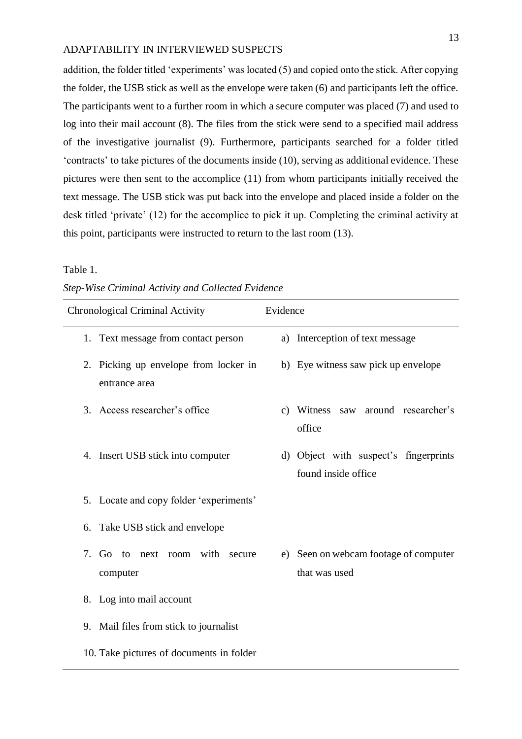addition, the folder titled 'experiments' was located (5) and copied onto the stick. After copying the folder, the USB stick as well as the envelope were taken (6) and participants left the office. The participants went to a further room in which a secure computer was placed (7) and used to log into their mail account (8). The files from the stick were send to a specified mail address of the investigative journalist (9). Furthermore, participants searched for a folder titled 'contracts' to take pictures of the documents inside (10), serving as additional evidence. These pictures were then sent to the accomplice (11) from whom participants initially received the text message. The USB stick was put back into the envelope and placed inside a folder on the desk titled 'private' (12) for the accomplice to pick it up. Completing the criminal activity at this point, participants were instructed to return to the last room (13).

## Table 1.

| Chronological Criminal Activity |                                                        | Evidence |                                                              |  |
|---------------------------------|--------------------------------------------------------|----------|--------------------------------------------------------------|--|
|                                 | 1. Text message from contact person                    |          | a) Interception of text message                              |  |
|                                 | 2. Picking up envelope from locker in<br>entrance area |          | b) Eye witness saw pick up envelope                          |  |
|                                 | 3. Access researcher's office                          |          | c) Witness saw around researcher's<br>office                 |  |
|                                 | 4. Insert USB stick into computer                      |          | d) Object with suspect's fingerprints<br>found inside office |  |
|                                 | 5. Locate and copy folder 'experiments'                |          |                                                              |  |
| 6.                              | Take USB stick and envelope                            |          |                                                              |  |
|                                 | 7. Go to next room with secure<br>computer             |          | e) Seen on webcam footage of computer<br>that was used       |  |
|                                 | 8. Log into mail account                               |          |                                                              |  |
|                                 | 9. Mail files from stick to journalist                 |          |                                                              |  |
|                                 | 10. Take pictures of documents in folder               |          |                                                              |  |

#### *Step-Wise Criminal Activity and Collected Evidence*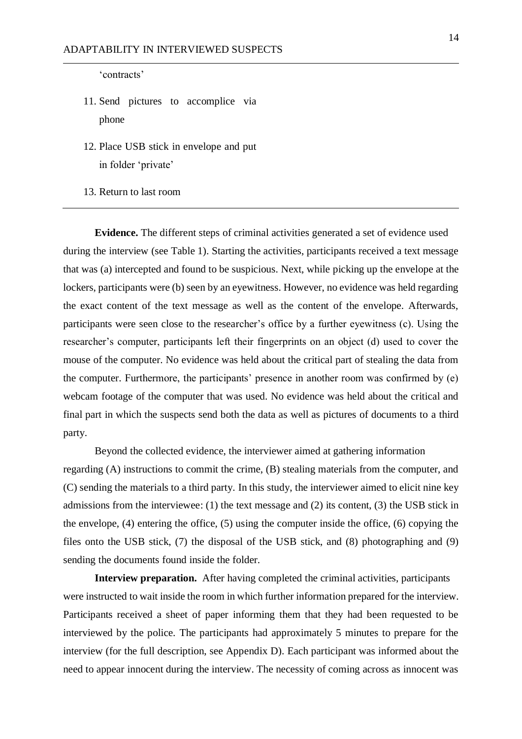'contracts'

- 11. Send pictures to accomplice via phone
- 12. Place USB stick in envelope and put in folder 'private'
- 13. Return to last room

**Evidence.** The different steps of criminal activities generated a set of evidence used during the interview (see Table 1). Starting the activities, participants received a text message that was (a) intercepted and found to be suspicious. Next, while picking up the envelope at the lockers, participants were (b) seen by an eyewitness. However, no evidence was held regarding the exact content of the text message as well as the content of the envelope. Afterwards, participants were seen close to the researcher's office by a further eyewitness (c). Using the researcher's computer, participants left their fingerprints on an object (d) used to cover the mouse of the computer. No evidence was held about the critical part of stealing the data from the computer. Furthermore, the participants' presence in another room was confirmed by (e) webcam footage of the computer that was used. No evidence was held about the critical and final part in which the suspects send both the data as well as pictures of documents to a third party.

Beyond the collected evidence, the interviewer aimed at gathering information regarding (A) instructions to commit the crime, (B) stealing materials from the computer, and (C) sending the materials to a third party. In this study, the interviewer aimed to elicit nine key admissions from the interviewee: (1) the text message and (2) its content, (3) the USB stick in the envelope, (4) entering the office, (5) using the computer inside the office, (6) copying the files onto the USB stick, (7) the disposal of the USB stick, and (8) photographing and (9) sending the documents found inside the folder.

**Interview preparation.** After having completed the criminal activities, participants were instructed to wait inside the room in which further information prepared for the interview. Participants received a sheet of paper informing them that they had been requested to be interviewed by the police. The participants had approximately 5 minutes to prepare for the interview (for the full description, see Appendix D). Each participant was informed about the need to appear innocent during the interview. The necessity of coming across as innocent was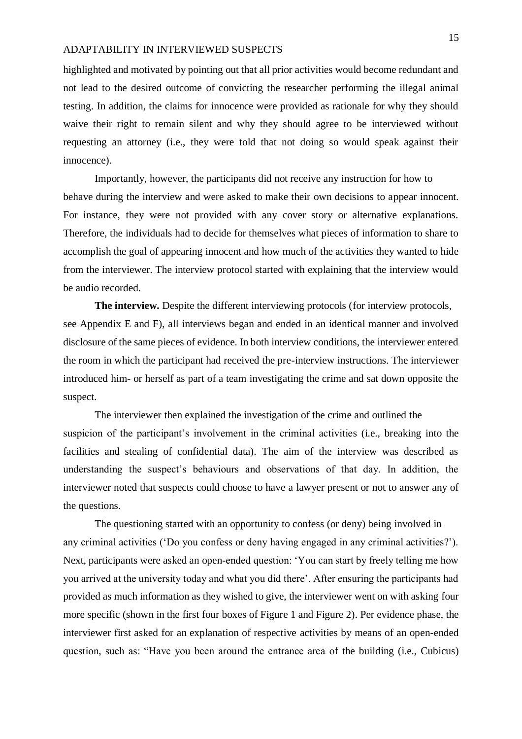highlighted and motivated by pointing out that all prior activities would become redundant and not lead to the desired outcome of convicting the researcher performing the illegal animal testing. In addition, the claims for innocence were provided as rationale for why they should waive their right to remain silent and why they should agree to be interviewed without requesting an attorney (i.e., they were told that not doing so would speak against their innocence).

Importantly, however, the participants did not receive any instruction for how to behave during the interview and were asked to make their own decisions to appear innocent. For instance, they were not provided with any cover story or alternative explanations. Therefore, the individuals had to decide for themselves what pieces of information to share to accomplish the goal of appearing innocent and how much of the activities they wanted to hide from the interviewer. The interview protocol started with explaining that the interview would be audio recorded.

**The interview.** Despite the different interviewing protocols (for interview protocols, see Appendix E and F), all interviews began and ended in an identical manner and involved disclosure of the same pieces of evidence. In both interview conditions, the interviewer entered the room in which the participant had received the pre-interview instructions. The interviewer introduced him- or herself as part of a team investigating the crime and sat down opposite the suspect.

The interviewer then explained the investigation of the crime and outlined the suspicion of the participant's involvement in the criminal activities (i.e., breaking into the facilities and stealing of confidential data). The aim of the interview was described as understanding the suspect's behaviours and observations of that day. In addition, the interviewer noted that suspects could choose to have a lawyer present or not to answer any of the questions.

The questioning started with an opportunity to confess (or deny) being involved in any criminal activities ('Do you confess or deny having engaged in any criminal activities?'). Next, participants were asked an open-ended question: 'You can start by freely telling me how you arrived at the university today and what you did there'. After ensuring the participants had provided as much information as they wished to give, the interviewer went on with asking four more specific (shown in the first four boxes of Figure 1 and Figure 2). Per evidence phase, the interviewer first asked for an explanation of respective activities by means of an open-ended question, such as: "Have you been around the entrance area of the building (i.e., Cubicus)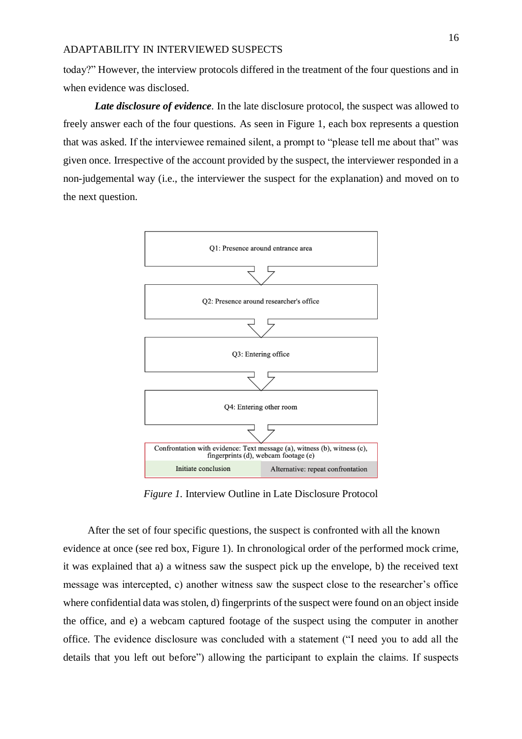today?" However, the interview protocols differed in the treatment of the four questions and in when evidence was disclosed.

*Late disclosure of evidence*. In the late disclosure protocol, the suspect was allowed to freely answer each of the four questions. As seen in Figure 1, each box represents a question that was asked. If the interviewee remained silent, a prompt to "please tell me about that" was given once. Irrespective of the account provided by the suspect, the interviewer responded in a non-judgemental way (i.e., the interviewer the suspect for the explanation) and moved on to the next question.



*Figure 1.* Interview Outline in Late Disclosure Protocol

After the set of four specific questions, the suspect is confronted with all the known evidence at once (see red box, Figure 1). In chronological order of the performed mock crime, it was explained that a) a witness saw the suspect pick up the envelope, b) the received text message was intercepted, c) another witness saw the suspect close to the researcher's office where confidential data was stolen, d) fingerprints of the suspect were found on an object inside the office, and e) a webcam captured footage of the suspect using the computer in another office. The evidence disclosure was concluded with a statement ("I need you to add all the details that you left out before") allowing the participant to explain the claims. If suspects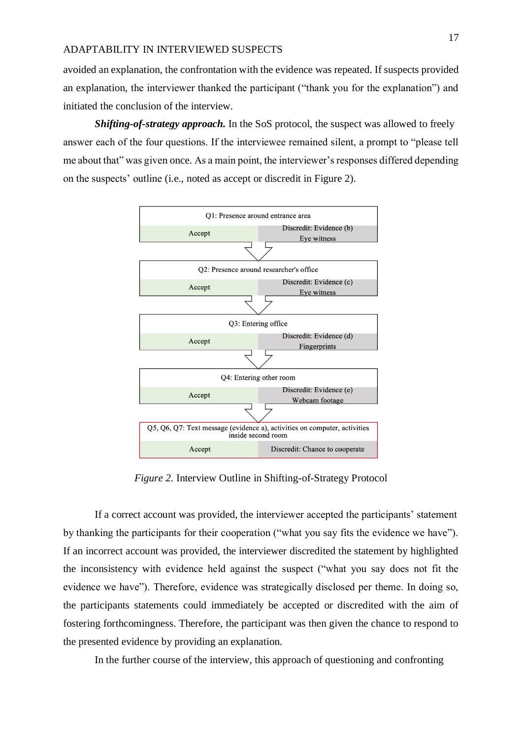avoided an explanation, the confrontation with the evidence was repeated. If suspects provided an explanation, the interviewer thanked the participant ("thank you for the explanation") and initiated the conclusion of the interview.

*Shifting-of-strategy approach.* In the SoS protocol, the suspect was allowed to freely answer each of the four questions. If the interviewee remained silent, a prompt to "please tell me about that" was given once. As a main point, the interviewer's responses differed depending on the suspects' outline (i.e., noted as accept or discredit in Figure 2).



*Figure 2.* Interview Outline in Shifting-of-Strategy Protocol

If a correct account was provided, the interviewer accepted the participants' statement by thanking the participants for their cooperation ("what you say fits the evidence we have"). If an incorrect account was provided, the interviewer discredited the statement by highlighted the inconsistency with evidence held against the suspect ("what you say does not fit the evidence we have"). Therefore, evidence was strategically disclosed per theme. In doing so, the participants statements could immediately be accepted or discredited with the aim of fostering forthcomingness. Therefore, the participant was then given the chance to respond to the presented evidence by providing an explanation.

In the further course of the interview, this approach of questioning and confronting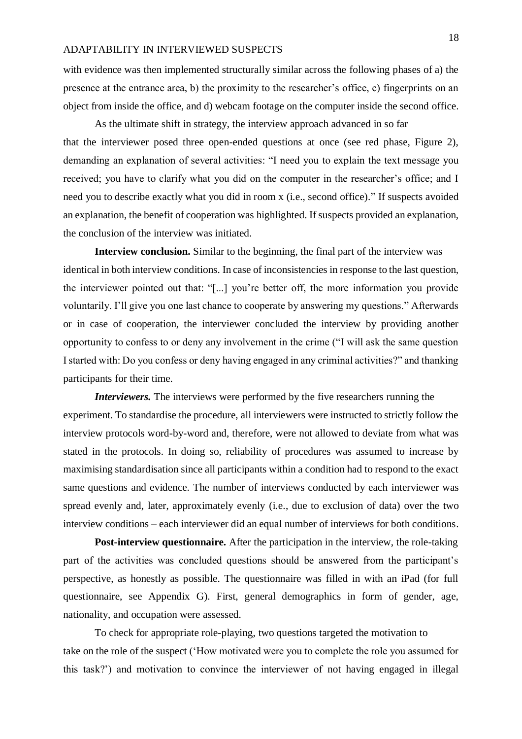with evidence was then implemented structurally similar across the following phases of a) the presence at the entrance area, b) the proximity to the researcher's office, c) fingerprints on an object from inside the office, and d) webcam footage on the computer inside the second office.

As the ultimate shift in strategy, the interview approach advanced in so far that the interviewer posed three open-ended questions at once (see red phase, Figure 2), demanding an explanation of several activities: "I need you to explain the text message you received; you have to clarify what you did on the computer in the researcher's office; and I need you to describe exactly what you did in room x (i.e., second office)*.*" If suspects avoided an explanation, the benefit of cooperation was highlighted. If suspects provided an explanation, the conclusion of the interview was initiated.

**Interview conclusion.** Similar to the beginning, the final part of the interview was identical in both interview conditions. In case of inconsistencies in response to the last question, the interviewer pointed out that: "[...] you're better off, the more information you provide voluntarily. I'll give you one last chance to cooperate by answering my questions." Afterwards or in case of cooperation, the interviewer concluded the interview by providing another opportunity to confess to or deny any involvement in the crime ("I will ask the same question I started with: Do you confess or deny having engaged in any criminal activities?" and thanking participants for their time.

*Interviewers*. The interviews were performed by the five researchers running the experiment. To standardise the procedure, all interviewers were instructed to strictly follow the interview protocols word-by-word and, therefore, were not allowed to deviate from what was stated in the protocols. In doing so, reliability of procedures was assumed to increase by maximising standardisation since all participants within a condition had to respond to the exact same questions and evidence. The number of interviews conducted by each interviewer was spread evenly and, later, approximately evenly (i.e., due to exclusion of data) over the two interview conditions – each interviewer did an equal number of interviews for both conditions.

**Post-interview questionnaire.** After the participation in the interview, the role-taking part of the activities was concluded questions should be answered from the participant's perspective, as honestly as possible. The questionnaire was filled in with an iPad (for full questionnaire, see Appendix G). First, general demographics in form of gender, age, nationality, and occupation were assessed.

To check for appropriate role-playing, two questions targeted the motivation to take on the role of the suspect ('How motivated were you to complete the role you assumed for this task?') and motivation to convince the interviewer of not having engaged in illegal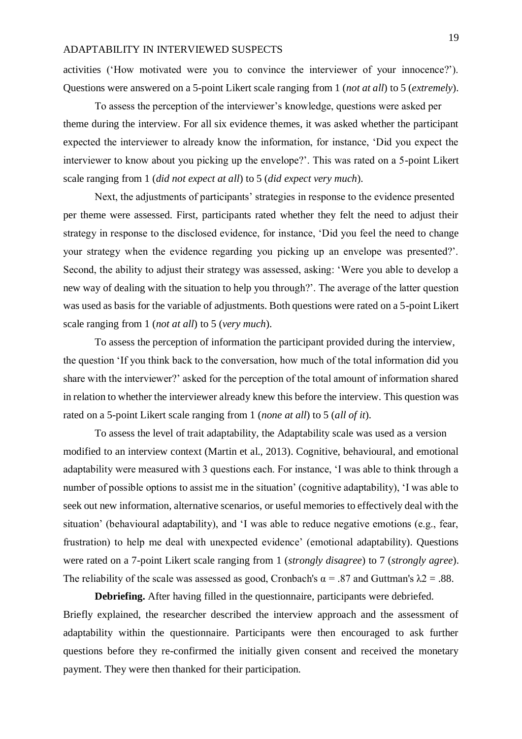activities ('How motivated were you to convince the interviewer of your innocence?'). Questions were answered on a 5-point Likert scale ranging from 1 (*not at all*) to 5 (*extremely*).

To assess the perception of the interviewer's knowledge, questions were asked per theme during the interview. For all six evidence themes, it was asked whether the participant expected the interviewer to already know the information, for instance, 'Did you expect the interviewer to know about you picking up the envelope?'. This was rated on a 5-point Likert scale ranging from 1 (*did not expect at all*) to 5 (*did expect very much*).

Next, the adjustments of participants' strategies in response to the evidence presented per theme were assessed. First, participants rated whether they felt the need to adjust their strategy in response to the disclosed evidence, for instance, 'Did you feel the need to change your strategy when the evidence regarding you picking up an envelope was presented?'. Second, the ability to adjust their strategy was assessed, asking: 'Were you able to develop a new way of dealing with the situation to help you through?'. The average of the latter question was used as basis for the variable of adjustments. Both questions were rated on a 5-point Likert scale ranging from 1 (*not at all*) to 5 (*very much*).

To assess the perception of information the participant provided during the interview, the question 'If you think back to the conversation, how much of the total information did you share with the interviewer?' asked for the perception of the total amount of information shared in relation to whether the interviewer already knew this before the interview. This question was rated on a 5-point Likert scale ranging from 1 (*none at all*) to 5 (*all of it*).

To assess the level of trait adaptability, the Adaptability scale was used as a version modified to an interview context (Martin et al., 2013). Cognitive, behavioural, and emotional adaptability were measured with 3 questions each. For instance, 'I was able to think through a number of possible options to assist me in the situation' (cognitive adaptability), 'I was able to seek out new information, alternative scenarios, or useful memories to effectively deal with the situation' (behavioural adaptability), and 'I was able to reduce negative emotions (e.g., fear, frustration) to help me deal with unexpected evidence' (emotional adaptability). Questions were rated on a 7-point Likert scale ranging from 1 (*strongly disagree*) to 7 (*strongly agree*). The reliability of the scale was assessed as good, Cronbach's  $\alpha$  = .87 and Guttman's  $\lambda$ 2 = .88.

**Debriefing.** After having filled in the questionnaire, participants were debriefed. Briefly explained, the researcher described the interview approach and the assessment of adaptability within the questionnaire. Participants were then encouraged to ask further questions before they re-confirmed the initially given consent and received the monetary payment. They were then thanked for their participation.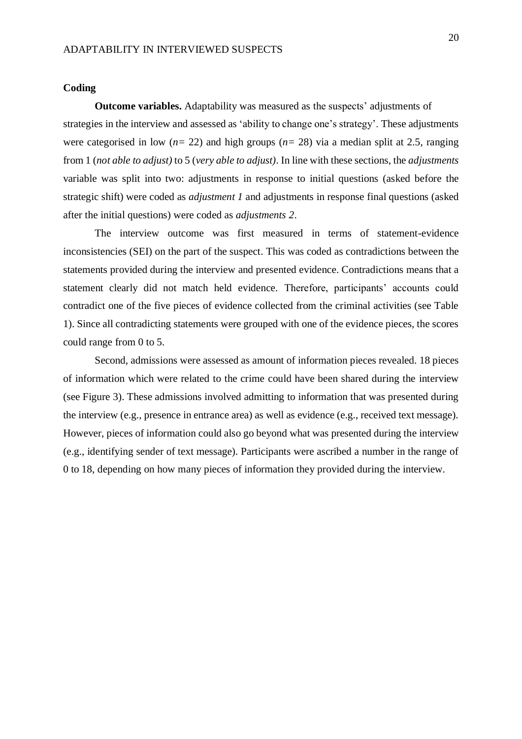#### **Coding**

**Outcome variables.** Adaptability was measured as the suspects' adjustments of strategies in the interview and assessed as 'ability to change one's strategy'. These adjustments were categorised in low (*n=* 22) and high groups (*n=* 28) via a median split at 2.5, ranging from 1 (*not able to adjust)* to 5 (*very able to adjust)*. In line with these sections, the *adjustments* variable was split into two: adjustments in response to initial questions (asked before the strategic shift) were coded as *adjustment 1* and adjustments in response final questions (asked after the initial questions) were coded as *adjustments 2*.

The interview outcome was first measured in terms of statement-evidence inconsistencies (SEI) on the part of the suspect. This was coded as contradictions between the statements provided during the interview and presented evidence. Contradictions means that a statement clearly did not match held evidence. Therefore, participants' accounts could contradict one of the five pieces of evidence collected from the criminal activities (see Table 1). Since all contradicting statements were grouped with one of the evidence pieces, the scores could range from 0 to 5.

Second, admissions were assessed as amount of information pieces revealed. 18 pieces of information which were related to the crime could have been shared during the interview (see Figure 3). These admissions involved admitting to information that was presented during the interview (e.g., presence in entrance area) as well as evidence (e.g., received text message). However, pieces of information could also go beyond what was presented during the interview (e.g., identifying sender of text message). Participants were ascribed a number in the range of 0 to 18, depending on how many pieces of information they provided during the interview.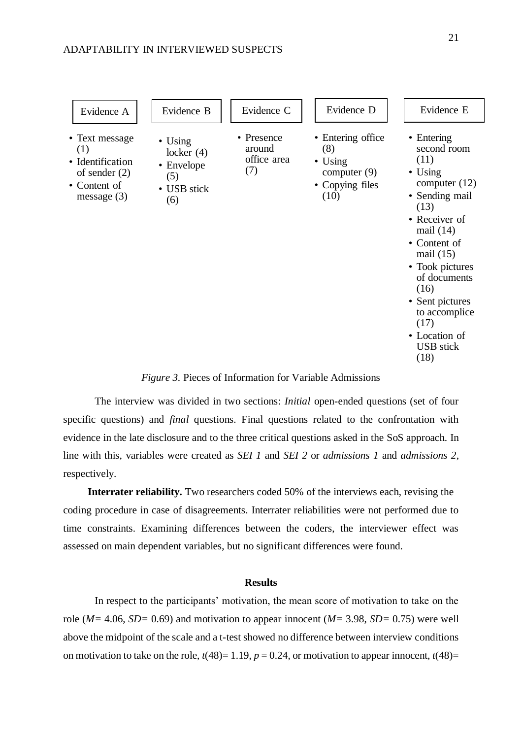

## *Figure 3.* Pieces of Information for Variable Admissions

The interview was divided in two sections: *Initial* open-ended questions (set of four specific questions) and *final* questions. Final questions related to the confrontation with evidence in the late disclosure and to the three critical questions asked in the SoS approach. In line with this, variables were created as *SEI 1* and *SEI 2* or *admissions 1* and *admissions 2*, respectively.

**Interrater reliability.** Two researchers coded 50% of the interviews each, revising the coding procedure in case of disagreements. Interrater reliabilities were not performed due to time constraints. Examining differences between the coders, the interviewer effect was assessed on main dependent variables, but no significant differences were found.

#### **Results**

In respect to the participants' motivation, the mean score of motivation to take on the role (*M=* 4.06, *SD=* 0.69) and motivation to appear innocent (*M=* 3.98, *SD=* 0.75) were well above the midpoint of the scale and a t-test showed no difference between interview conditions on motivation to take on the role,  $t(48)=1.19$ ,  $p=0.24$ , or motivation to appear innocent,  $t(48)=$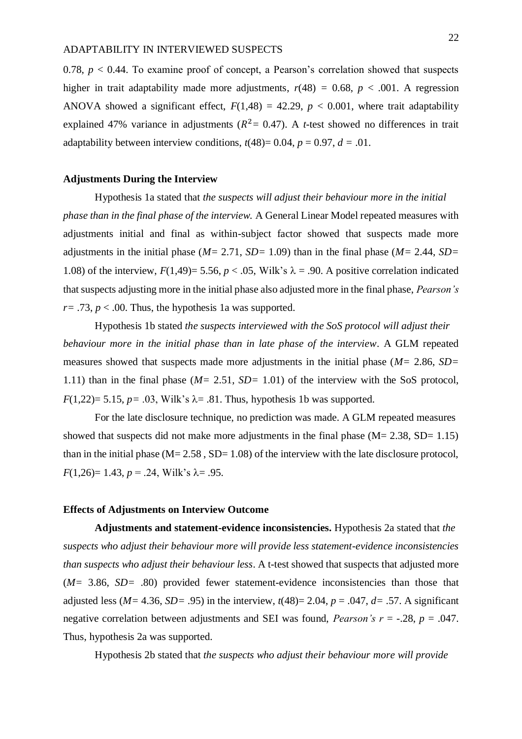0.78,  $p < 0.44$ . To examine proof of concept, a Pearson's correlation showed that suspects higher in trait adaptability made more adjustments,  $r(48) = 0.68$ ,  $p < .001$ . A regression ANOVA showed a significant effect,  $F(1,48) = 42.29$ ,  $p < 0.001$ , where trait adaptability explained 47% variance in adjustments ( $R^2 = 0.47$ ). A *t*-test showed no differences in trait adaptability between interview conditions,  $t(48)=0.04$ ,  $p=0.97$ ,  $d=.01$ .

## **Adjustments During the Interview**

Hypothesis 1a stated that *the suspects will adjust their behaviour more in the initial phase than in the final phase of the interview.* A General Linear Model repeated measures with adjustments initial and final as within-subject factor showed that suspects made more adjustments in the initial phase (*M=* 2.71, *SD=* 1.09) than in the final phase (*M=* 2.44, *SD=*  1.08) of the interview,  $F(1,49) = 5.56$ ,  $p < .05$ , Wilk's  $\lambda = .90$ . A positive correlation indicated that suspects adjusting more in the initial phase also adjusted more in the final phase, *Pearson's*   $r = .73$ ,  $p < .00$ . Thus, the hypothesis 1a was supported.

Hypothesis 1b stated *the suspects interviewed with the SoS protocol will adjust their behaviour more in the initial phase than in late phase of the interview*. A GLM repeated measures showed that suspects made more adjustments in the initial phase (*M=* 2.86, *SD=*  1.11) than in the final phase (*M=* 2.51, *SD=* 1.01) of the interview with the SoS protocol,  $F(1,22)=$  5.15,  $p=$  0.03, Wilk's  $\lambda$  = 0.81. Thus, hypothesis 1b was supported.

For the late disclosure technique, no prediction was made. A GLM repeated measures showed that suspects did not make more adjustments in the final phase  $(M= 2.38, SD= 1.15)$ than in the initial phase  $(M= 2.58, SD= 1.08)$  of the interview with the late disclosure protocol,  $F(1,26)=1.43, p=.24$ , Wilk's  $\lambda = .95$ .

#### **Effects of Adjustments on Interview Outcome**

**Adjustments and statement-evidence inconsistencies.** Hypothesis 2a stated that *the suspects who adjust their behaviour more will provide less statement-evidence inconsistencies than suspects who adjust their behaviour less*. A t-test showed that suspects that adjusted more (*M=* 3.86, *SD=* .80) provided fewer statement-evidence inconsistencies than those that adjusted less ( $M = 4.36$ ,  $SD = .95$ ) in the interview,  $t(48) = 2.04$ ,  $p = .047$ ,  $d = .57$ . A significant negative correlation between adjustments and SEI was found, *Pearson's r* = -.28, *p* = .047. Thus, hypothesis 2a was supported.

Hypothesis 2b stated that *the suspects who adjust their behaviour more will provide*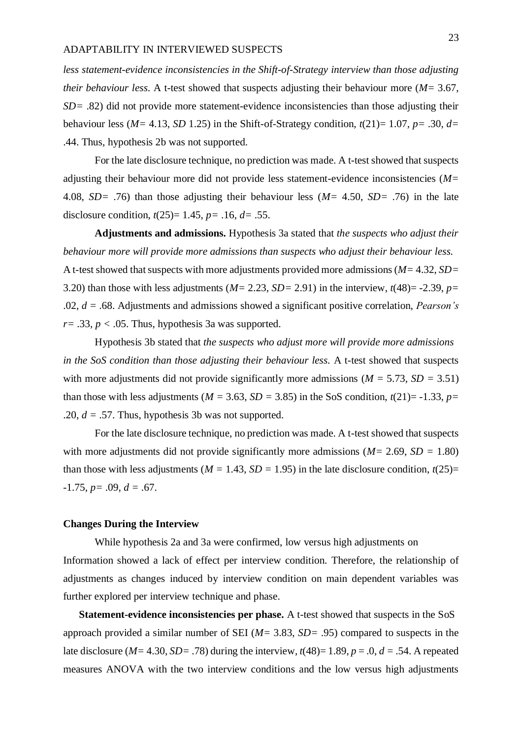*less statement-evidence inconsistencies in the Shift-of-Strategy interview than those adjusting their behaviour less.* A t-test showed that suspects adjusting their behaviour more (*M=* 3.67, *SD=* .82) did not provide more statement-evidence inconsistencies than those adjusting their behaviour less ( $M = 4.13$ , *SD* 1.25) in the Shift-of-Strategy condition,  $t(21) = 1.07$ ,  $p = .30$ ,  $d=$ .44. Thus, hypothesis 2b was not supported.

For the late disclosure technique, no prediction was made. A t-test showed that suspects adjusting their behaviour more did not provide less statement-evidence inconsistencies (*M=*  4.08, *SD=* .76) than those adjusting their behaviour less (*M=* 4.50, *SD=* .76) in the late disclosure condition, *t*(25)= 1.45, *p=* .16, *d=* .55.

**Adjustments and admissions.** Hypothesis 3a stated that *the suspects who adjust their behaviour more will provide more admissions than suspects who adjust their behaviour less.* A t-test showed that suspects with more adjustments provided more admissions (*M=* 4.32, *SD=*  3.20) than those with less adjustments ( $M= 2.23$ ,  $SD= 2.91$ ) in the interview,  $t(48)= -2.39$ ,  $p=$ .02, *d =* .68. Adjustments and admissions showed a significant positive correlation, *Pearson's*   $r=$  .33,  $p <$  .05. Thus, hypothesis 3a was supported.

Hypothesis 3b stated that *the suspects who adjust more will provide more admissions in the SoS condition than those adjusting their behaviour less.* A t-test showed that suspects with more adjustments did not provide significantly more admissions ( $M = 5.73$ ,  $SD = 3.51$ ) than those with less adjustments ( $M = 3.63$ ,  $SD = 3.85$ ) in the SoS condition,  $t(21)= -1.33$ ,  $p=$ .20, *d =* .57. Thus, hypothesis 3b was not supported.

For the late disclosure technique, no prediction was made. A t-test showed that suspects with more adjustments did not provide significantly more admissions (*M=* 2.69, *SD =* 1.80) than those with less adjustments ( $M = 1.43$ ,  $SD = 1.95$ ) in the late disclosure condition,  $t(25)$ =  $-1.75, p = .09, d = .67.$ 

#### **Changes During the Interview**

While hypothesis 2a and 3a were confirmed, low versus high adjustments on Information showed a lack of effect per interview condition. Therefore, the relationship of adjustments as changes induced by interview condition on main dependent variables was further explored per interview technique and phase.

**Statement-evidence inconsistencies per phase.** A t-test showed that suspects in the SoS approach provided a similar number of SEI (*M=* 3.83, *SD=* .95) compared to suspects in the late disclosure ( $M=4.30$ ,  $SD=.78$ ) during the interview,  $t(48)=1.89$ ,  $p=.0$ ,  $d=.54$ . A repeated measures ANOVA with the two interview conditions and the low versus high adjustments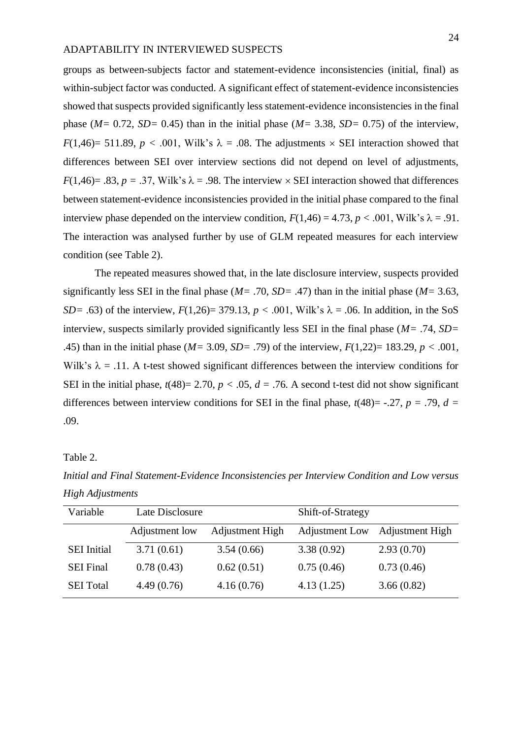groups as between-subjects factor and statement-evidence inconsistencies (initial, final) as within-subject factor was conducted. A significant effect of statement-evidence inconsistencies showed that suspects provided significantly less statement-evidence inconsistencies in the final phase (*M=* 0.72, *SD=* 0.45) than in the initial phase (*M=* 3.38, *SD=* 0.75) of the interview, *F*(1,46)= 511.89, *p* < .001, Wilk's  $\lambda$  = .08. The adjustments  $\times$  SEI interaction showed that differences between SEI over interview sections did not depend on level of adjustments,  $F(1,46) = .83$ ,  $p = .37$ , Wilk's  $\lambda = .98$ . The interview  $\times$  SEI interaction showed that differences between statement-evidence inconsistencies provided in the initial phase compared to the final interview phase depended on the interview condition,  $F(1,46) = 4.73$ ,  $p < .001$ , Wilk's  $\lambda = .91$ . The interaction was analysed further by use of GLM repeated measures for each interview condition (see Table 2).

The repeated measures showed that, in the late disclosure interview, suspects provided significantly less SEI in the final phase (*M=* .70, *SD=* .47) than in the initial phase (*M=* 3.63, *SD*= .63) of the interview,  $F(1,26)$ = 379.13,  $p < .001$ , Wilk's  $\lambda = .06$ . In addition, in the SoS interview, suspects similarly provided significantly less SEI in the final phase (*M=* .74, *SD=*  .45) than in the initial phase (*M=* 3.09, *SD=* .79) of the interview, *F*(1,22)= 183.29, *p <* .001, Wilk's  $\lambda = 0.11$ . A t-test showed significant differences between the interview conditions for SEI in the initial phase,  $t(48) = 2.70$ ,  $p < .05$ ,  $d = .76$ . A second t-test did not show significant differences between interview conditions for SEI in the final phase,  $t(48)$ = -.27,  $p = .79$ ,  $d =$ .09.

#### Table 2.

*Initial and Final Statement-Evidence Inconsistencies per Interview Condition and Low versus High Adjustments*

| Variable           | Late Disclosure |                 | Shift-of-Strategy |                        |
|--------------------|-----------------|-----------------|-------------------|------------------------|
|                    | Adjustment low  | Adjustment High | Adjustment Low    | <b>Adjustment High</b> |
| <b>SEI</b> Initial | 3.71(0.61)      | 3.54(0.66)      | 3.38(0.92)        | 2.93(0.70)             |
| <b>SEI Final</b>   | 0.78(0.43)      | 0.62(0.51)      | 0.75(0.46)        | 0.73(0.46)             |
| <b>SEI</b> Total   | 4.49(0.76)      | 4.16(0.76)      | 4.13(1.25)        | 3.66(0.82)             |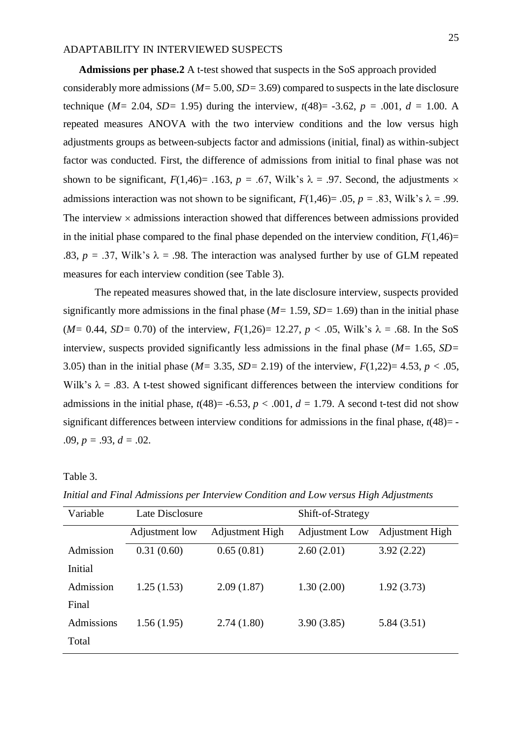**Admissions per phase.2** A t-test showed that suspects in the SoS approach provided considerably more admissions (*M=* 5.00, *SD=* 3.69) compared to suspects in the late disclosure technique ( $M = 2.04$ ,  $SD = 1.95$ ) during the interview,  $t(48) = -3.62$ ,  $p = .001$ ,  $d = 1.00$ . A repeated measures ANOVA with the two interview conditions and the low versus high adjustments groups as between-subjects factor and admissions (initial, final) as within-subject factor was conducted. First, the difference of admissions from initial to final phase was not shown to be significant,  $F(1,46) = .163$ ,  $p = .67$ , Wilk's  $\lambda = .97$ . Second, the adjustments  $\times$ admissions interaction was not shown to be significant,  $F(1,46) = .05$ ,  $p = .83$ , Wilk's  $\lambda = .99$ . The interview  $\times$  admissions interaction showed that differences between admissions provided in the initial phase compared to the final phase depended on the interview condition,  $F(1,46)=$ .83,  $p = 0.37$ , Wilk's  $\lambda = 0.98$ . The interaction was analysed further by use of GLM repeated measures for each interview condition (see Table 3).

The repeated measures showed that, in the late disclosure interview, suspects provided significantly more admissions in the final phase (*M=* 1.59, *SD=* 1.69) than in the initial phase (*M* = 0.44, *SD* = 0.70) of the interview,  $F(1,26)$  = 12.27,  $p < .05$ , Wilk's  $\lambda = .68$ . In the SoS interview, suspects provided significantly less admissions in the final phase (*M=* 1.65, *SD=*  3.05) than in the initial phase (*M=* 3.35, *SD=* 2.19) of the interview, *F*(1,22)= 4.53, *p <* .05, Wilk's  $\lambda = .83$ . A t-test showed significant differences between the interview conditions for admissions in the initial phase,  $t(48) = -6.53$ ,  $p < .001$ ,  $d = 1.79$ . A second t-test did not show significant differences between interview conditions for admissions in the final phase,  $t(48)$ = -.09, *p =* .93, *d =* .02.

Table 3.

| Variable   | Late Disclosure |                 | Shift-of-Strategy |                 |
|------------|-----------------|-----------------|-------------------|-----------------|
|            | Adjustment low  | Adjustment High | Adjustment Low    | Adjustment High |
| Admission  | 0.31(0.60)      | 0.65(0.81)      | 2.60(2.01)        | 3.92(2.22)      |
| Initial    |                 |                 |                   |                 |
| Admission  | 1.25(1.53)      | 2.09(1.87)      | 1.30(2.00)        | 1.92(3.73)      |
| Final      |                 |                 |                   |                 |
| Admissions | 1.56(1.95)      | 2.74(1.80)      | 3.90(3.85)        | 5.84(3.51)      |
| Total      |                 |                 |                   |                 |

*Initial and Final Admissions per Interview Condition and Low versus High Adjustments*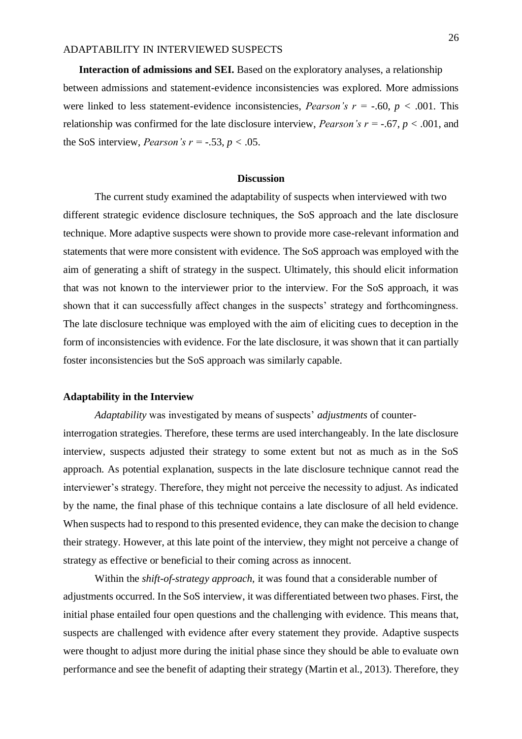**Interaction of admissions and SEI.** Based on the exploratory analyses, a relationship between admissions and statement-evidence inconsistencies was explored. More admissions were linked to less statement-evidence inconsistencies, *Pearson's*  $r = -.60, p < .001$ . This relationship was confirmed for the late disclosure interview, *Pearson's r* = -.67,  $p < .001$ , and the SoS interview, *Pearson's r* = -.53, *p* < .05.

## **Discussion**

The current study examined the adaptability of suspects when interviewed with two different strategic evidence disclosure techniques, the SoS approach and the late disclosure technique. More adaptive suspects were shown to provide more case-relevant information and statements that were more consistent with evidence. The SoS approach was employed with the aim of generating a shift of strategy in the suspect. Ultimately, this should elicit information that was not known to the interviewer prior to the interview. For the SoS approach, it was shown that it can successfully affect changes in the suspects' strategy and forthcomingness. The late disclosure technique was employed with the aim of eliciting cues to deception in the form of inconsistencies with evidence. For the late disclosure, it was shown that it can partially foster inconsistencies but the SoS approach was similarly capable.

#### **Adaptability in the Interview**

*Adaptability* was investigated by means of suspects' *adjustments* of counterinterrogation strategies. Therefore, these terms are used interchangeably. In the late disclosure interview, suspects adjusted their strategy to some extent but not as much as in the SoS approach. As potential explanation, suspects in the late disclosure technique cannot read the interviewer's strategy. Therefore, they might not perceive the necessity to adjust. As indicated by the name, the final phase of this technique contains a late disclosure of all held evidence. When suspects had to respond to this presented evidence, they can make the decision to change their strategy. However, at this late point of the interview, they might not perceive a change of strategy as effective or beneficial to their coming across as innocent.

Within the *shift-of-strategy approach,* it was found that a considerable number of adjustments occurred. In the SoS interview, it was differentiated between two phases. First, the initial phase entailed four open questions and the challenging with evidence. This means that, suspects are challenged with evidence after every statement they provide. Adaptive suspects were thought to adjust more during the initial phase since they should be able to evaluate own performance and see the benefit of adapting their strategy (Martin et al., 2013). Therefore, they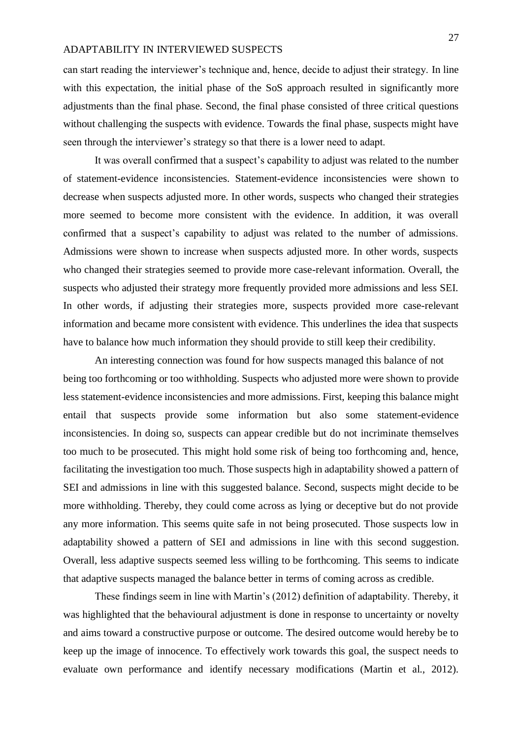can start reading the interviewer's technique and, hence, decide to adjust their strategy. In line with this expectation, the initial phase of the SoS approach resulted in significantly more adjustments than the final phase. Second, the final phase consisted of three critical questions without challenging the suspects with evidence. Towards the final phase, suspects might have seen through the interviewer's strategy so that there is a lower need to adapt.

It was overall confirmed that a suspect's capability to adjust was related to the number of statement-evidence inconsistencies. Statement-evidence inconsistencies were shown to decrease when suspects adjusted more. In other words, suspects who changed their strategies more seemed to become more consistent with the evidence. In addition, it was overall confirmed that a suspect's capability to adjust was related to the number of admissions. Admissions were shown to increase when suspects adjusted more. In other words, suspects who changed their strategies seemed to provide more case-relevant information. Overall, the suspects who adjusted their strategy more frequently provided more admissions and less SEI. In other words, if adjusting their strategies more, suspects provided more case-relevant information and became more consistent with evidence. This underlines the idea that suspects have to balance how much information they should provide to still keep their credibility.

An interesting connection was found for how suspects managed this balance of not being too forthcoming or too withholding. Suspects who adjusted more were shown to provide less statement-evidence inconsistencies and more admissions. First, keeping this balance might entail that suspects provide some information but also some statement-evidence inconsistencies. In doing so, suspects can appear credible but do not incriminate themselves too much to be prosecuted. This might hold some risk of being too forthcoming and, hence, facilitating the investigation too much. Those suspects high in adaptability showed a pattern of SEI and admissions in line with this suggested balance. Second, suspects might decide to be more withholding. Thereby, they could come across as lying or deceptive but do not provide any more information. This seems quite safe in not being prosecuted. Those suspects low in adaptability showed a pattern of SEI and admissions in line with this second suggestion. Overall, less adaptive suspects seemed less willing to be forthcoming. This seems to indicate that adaptive suspects managed the balance better in terms of coming across as credible.

These findings seem in line with Martin's (2012) definition of adaptability. Thereby, it was highlighted that the behavioural adjustment is done in response to uncertainty or novelty and aims toward a constructive purpose or outcome. The desired outcome would hereby be to keep up the image of innocence. To effectively work towards this goal, the suspect needs to evaluate own performance and identify necessary modifications (Martin et al., 2012).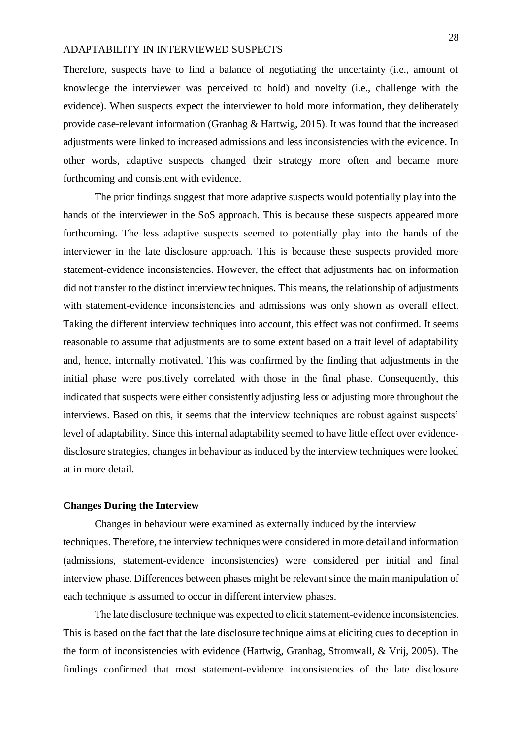Therefore, suspects have to find a balance of negotiating the uncertainty (i.e., amount of knowledge the interviewer was perceived to hold) and novelty (i.e., challenge with the evidence). When suspects expect the interviewer to hold more information, they deliberately provide case-relevant information (Granhag & Hartwig, 2015). It was found that the increased adjustments were linked to increased admissions and less inconsistencies with the evidence. In other words, adaptive suspects changed their strategy more often and became more forthcoming and consistent with evidence.

The prior findings suggest that more adaptive suspects would potentially play into the hands of the interviewer in the SoS approach. This is because these suspects appeared more forthcoming. The less adaptive suspects seemed to potentially play into the hands of the interviewer in the late disclosure approach. This is because these suspects provided more statement-evidence inconsistencies. However, the effect that adjustments had on information did not transfer to the distinct interview techniques. This means, the relationship of adjustments with statement-evidence inconsistencies and admissions was only shown as overall effect. Taking the different interview techniques into account, this effect was not confirmed. It seems reasonable to assume that adjustments are to some extent based on a trait level of adaptability and, hence, internally motivated. This was confirmed by the finding that adjustments in the initial phase were positively correlated with those in the final phase. Consequently, this indicated that suspects were either consistently adjusting less or adjusting more throughout the interviews. Based on this, it seems that the interview techniques are robust against suspects' level of adaptability. Since this internal adaptability seemed to have little effect over evidencedisclosure strategies, changes in behaviour as induced by the interview techniques were looked at in more detail.

#### **Changes During the Interview**

Changes in behaviour were examined as externally induced by the interview techniques. Therefore, the interview techniques were considered in more detail and information (admissions, statement-evidence inconsistencies) were considered per initial and final interview phase. Differences between phases might be relevant since the main manipulation of each technique is assumed to occur in different interview phases.

The late disclosure technique was expected to elicit statement-evidence inconsistencies. This is based on the fact that the late disclosure technique aims at eliciting cues to deception in the form of inconsistencies with evidence (Hartwig, Granhag, Stromwall, & Vrij, 2005). The findings confirmed that most statement-evidence inconsistencies of the late disclosure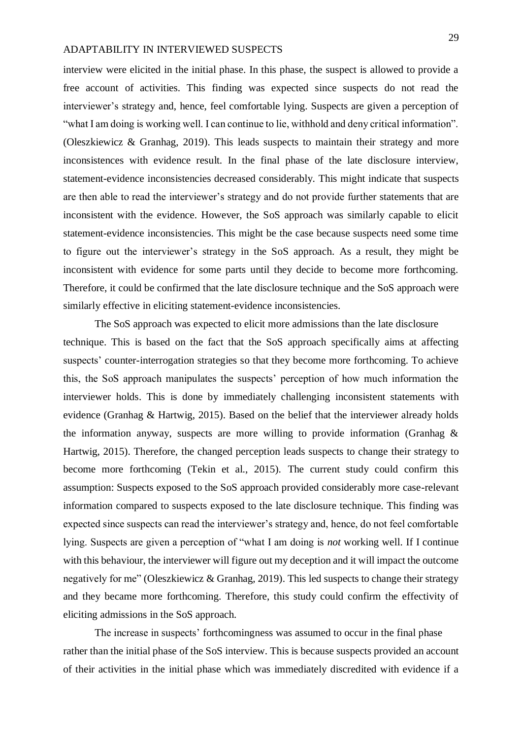interview were elicited in the initial phase. In this phase, the suspect is allowed to provide a free account of activities. This finding was expected since suspects do not read the interviewer's strategy and, hence, feel comfortable lying. Suspects are given a perception of "what I am doing is working well. I can continue to lie, withhold and deny critical information". (Oleszkiewicz & Granhag, 2019). This leads suspects to maintain their strategy and more inconsistences with evidence result. In the final phase of the late disclosure interview, statement-evidence inconsistencies decreased considerably. This might indicate that suspects are then able to read the interviewer's strategy and do not provide further statements that are inconsistent with the evidence. However, the SoS approach was similarly capable to elicit statement-evidence inconsistencies. This might be the case because suspects need some time to figure out the interviewer's strategy in the SoS approach. As a result, they might be inconsistent with evidence for some parts until they decide to become more forthcoming. Therefore, it could be confirmed that the late disclosure technique and the SoS approach were similarly effective in eliciting statement-evidence inconsistencies.

The SoS approach was expected to elicit more admissions than the late disclosure technique. This is based on the fact that the SoS approach specifically aims at affecting suspects' counter-interrogation strategies so that they become more forthcoming. To achieve this, the SoS approach manipulates the suspects' perception of how much information the interviewer holds. This is done by immediately challenging inconsistent statements with evidence (Granhag & Hartwig, 2015). Based on the belief that the interviewer already holds the information anyway, suspects are more willing to provide information (Granhag  $\&$ Hartwig, 2015). Therefore, the changed perception leads suspects to change their strategy to become more forthcoming (Tekin et al., 2015). The current study could confirm this assumption: Suspects exposed to the SoS approach provided considerably more case-relevant information compared to suspects exposed to the late disclosure technique. This finding was expected since suspects can read the interviewer's strategy and, hence, do not feel comfortable lying. Suspects are given a perception of "what I am doing is *not* working well. If I continue with this behaviour, the interviewer will figure out my deception and it will impact the outcome negatively for me" (Oleszkiewicz & Granhag, 2019). This led suspects to change their strategy and they became more forthcoming. Therefore, this study could confirm the effectivity of eliciting admissions in the SoS approach.

The increase in suspects' forthcomingness was assumed to occur in the final phase rather than the initial phase of the SoS interview. This is because suspects provided an account of their activities in the initial phase which was immediately discredited with evidence if a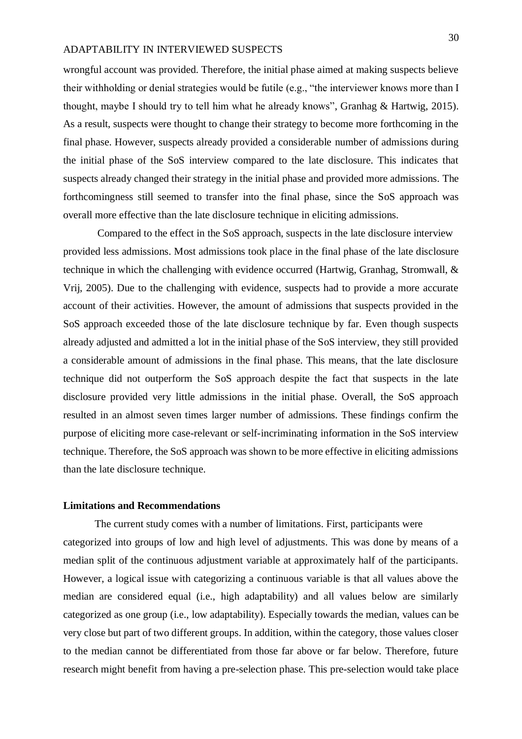wrongful account was provided. Therefore, the initial phase aimed at making suspects believe their withholding or denial strategies would be futile (e.g., "the interviewer knows more than I thought, maybe I should try to tell him what he already knows", Granhag & Hartwig, 2015). As a result, suspects were thought to change their strategy to become more forthcoming in the final phase. However, suspects already provided a considerable number of admissions during the initial phase of the SoS interview compared to the late disclosure. This indicates that suspects already changed their strategy in the initial phase and provided more admissions. The forthcomingness still seemed to transfer into the final phase, since the SoS approach was overall more effective than the late disclosure technique in eliciting admissions.

Compared to the effect in the SoS approach, suspects in the late disclosure interview provided less admissions. Most admissions took place in the final phase of the late disclosure technique in which the challenging with evidence occurred (Hartwig, Granhag, Stromwall, & Vrij, 2005). Due to the challenging with evidence, suspects had to provide a more accurate account of their activities. However, the amount of admissions that suspects provided in the SoS approach exceeded those of the late disclosure technique by far. Even though suspects already adjusted and admitted a lot in the initial phase of the SoS interview, they still provided a considerable amount of admissions in the final phase. This means, that the late disclosure technique did not outperform the SoS approach despite the fact that suspects in the late disclosure provided very little admissions in the initial phase. Overall, the SoS approach resulted in an almost seven times larger number of admissions. These findings confirm the purpose of eliciting more case-relevant or self-incriminating information in the SoS interview technique. Therefore, the SoS approach was shown to be more effective in eliciting admissions than the late disclosure technique.

#### **Limitations and Recommendations**

The current study comes with a number of limitations. First, participants were categorized into groups of low and high level of adjustments. This was done by means of a median split of the continuous adjustment variable at approximately half of the participants. However, a logical issue with categorizing a continuous variable is that all values above the median are considered equal (i.e., high adaptability) and all values below are similarly categorized as one group (i.e., low adaptability). Especially towards the median, values can be very close but part of two different groups. In addition, within the category, those values closer to the median cannot be differentiated from those far above or far below. Therefore, future research might benefit from having a pre-selection phase. This pre-selection would take place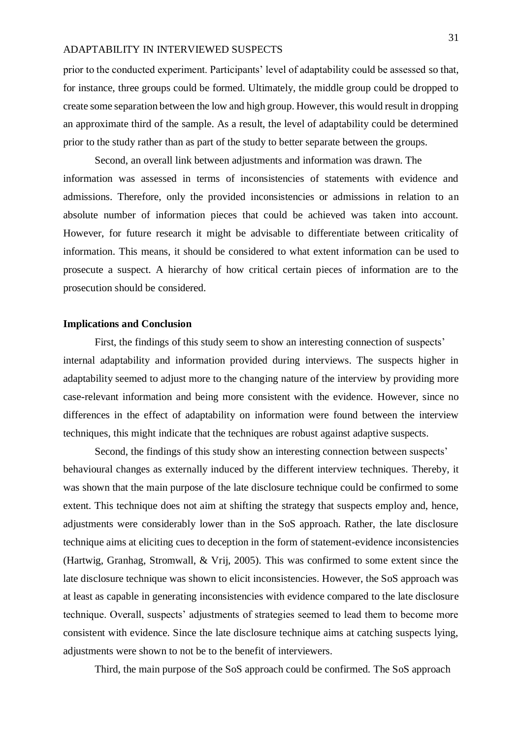prior to the conducted experiment. Participants' level of adaptability could be assessed so that, for instance, three groups could be formed. Ultimately, the middle group could be dropped to create some separation between the low and high group. However, this would result in dropping an approximate third of the sample. As a result, the level of adaptability could be determined prior to the study rather than as part of the study to better separate between the groups.

Second, an overall link between adjustments and information was drawn. The information was assessed in terms of inconsistencies of statements with evidence and admissions. Therefore, only the provided inconsistencies or admissions in relation to an absolute number of information pieces that could be achieved was taken into account. However, for future research it might be advisable to differentiate between criticality of information. This means, it should be considered to what extent information can be used to prosecute a suspect. A hierarchy of how critical certain pieces of information are to the prosecution should be considered.

## **Implications and Conclusion**

First, the findings of this study seem to show an interesting connection of suspects' internal adaptability and information provided during interviews. The suspects higher in adaptability seemed to adjust more to the changing nature of the interview by providing more case-relevant information and being more consistent with the evidence. However, since no differences in the effect of adaptability on information were found between the interview techniques, this might indicate that the techniques are robust against adaptive suspects.

Second, the findings of this study show an interesting connection between suspects' behavioural changes as externally induced by the different interview techniques. Thereby, it was shown that the main purpose of the late disclosure technique could be confirmed to some extent. This technique does not aim at shifting the strategy that suspects employ and, hence, adjustments were considerably lower than in the SoS approach. Rather, the late disclosure technique aims at eliciting cues to deception in the form of statement-evidence inconsistencies (Hartwig, Granhag, Stromwall, & Vrij, 2005). This was confirmed to some extent since the late disclosure technique was shown to elicit inconsistencies. However, the SoS approach was at least as capable in generating inconsistencies with evidence compared to the late disclosure technique. Overall, suspects' adjustments of strategies seemed to lead them to become more consistent with evidence. Since the late disclosure technique aims at catching suspects lying, adjustments were shown to not be to the benefit of interviewers.

Third, the main purpose of the SoS approach could be confirmed. The SoS approach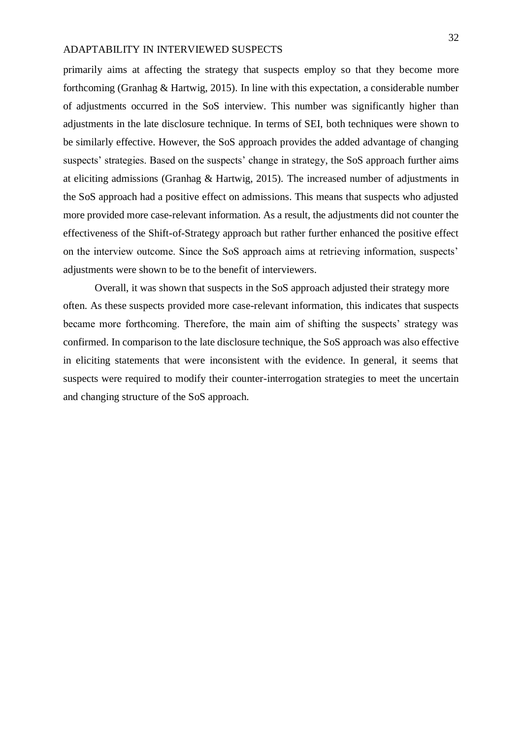primarily aims at affecting the strategy that suspects employ so that they become more forthcoming (Granhag & Hartwig, 2015). In line with this expectation, a considerable number of adjustments occurred in the SoS interview. This number was significantly higher than adjustments in the late disclosure technique. In terms of SEI, both techniques were shown to be similarly effective. However, the SoS approach provides the added advantage of changing suspects' strategies. Based on the suspects' change in strategy, the SoS approach further aims at eliciting admissions (Granhag & Hartwig, 2015). The increased number of adjustments in the SoS approach had a positive effect on admissions. This means that suspects who adjusted more provided more case-relevant information. As a result, the adjustments did not counter the effectiveness of the Shift-of-Strategy approach but rather further enhanced the positive effect on the interview outcome. Since the SoS approach aims at retrieving information, suspects' adjustments were shown to be to the benefit of interviewers.

Overall, it was shown that suspects in the SoS approach adjusted their strategy more often. As these suspects provided more case-relevant information, this indicates that suspects became more forthcoming. Therefore, the main aim of shifting the suspects' strategy was confirmed. In comparison to the late disclosure technique, the SoS approach was also effective in eliciting statements that were inconsistent with the evidence. In general, it seems that suspects were required to modify their counter-interrogation strategies to meet the uncertain and changing structure of the SoS approach.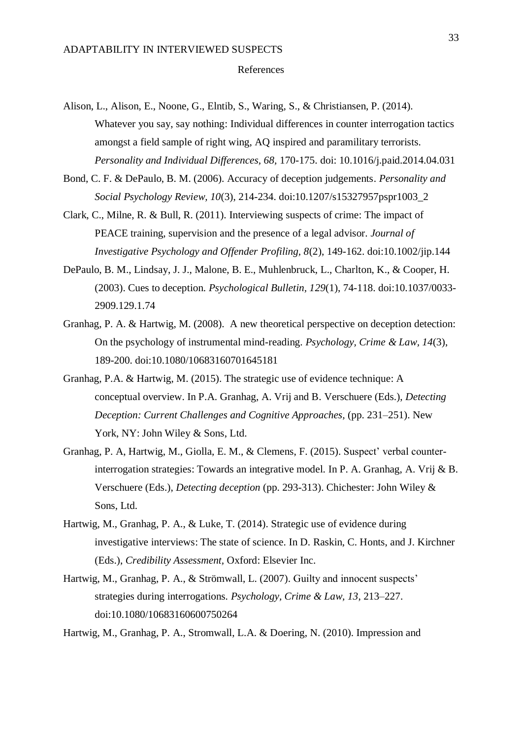- Alison, L., Alison, E., Noone, G., Elntib, S., Waring, S., & Christiansen, P. (2014). Whatever you say, say nothing: Individual differences in counter interrogation tactics amongst a field sample of right wing, AQ inspired and paramilitary terrorists. *Personality and Individual Differences, 68,* 170-175. doi: 10.1016/j.paid.2014.04.031
- Bond, C. F. & DePaulo, B. M. (2006). Accuracy of deception judgements. *Personality and Social Psychology Review, 10*(3), 214-234. doi:10.1207/s15327957pspr1003\_2
- Clark, C., Milne, R. & Bull, R. (2011). Interviewing suspects of crime: The impact of PEACE training, supervision and the presence of a legal advisor. *Journal of Investigative Psychology and Offender Profiling, 8*(2), 149-162. doi:10.1002/jip.144
- DePaulo, B. M., Lindsay, J. J., Malone, B. E., Muhlenbruck, L., Charlton, K., & Cooper, H. (2003). Cues to deception. *Psychological Bulletin, 129*(1), 74-118. doi:10.1037/0033- 2909.129.1.74
- Granhag, P. A. & Hartwig, M. (2008). A new theoretical perspective on deception detection: On the psychology of instrumental mind-reading. *Psychology, Crime & Law, 14*(3), 189-200. doi:10.1080/10683160701645181
- Granhag, P.A. & Hartwig, M. (2015). The strategic use of evidence technique: A conceptual overview. In P.A. Granhag, A. Vrij and B. Verschuere (Eds.), *Detecting Deception: Current Challenges and Cognitive Approaches, (pp. 231–251).* New York, NY: John Wiley & Sons, Ltd.
- Granhag, P. A, Hartwig, M., Giolla, E. M., & Clemens, F. (2015). Suspect' verbal counterinterrogation strategies: Towards an integrative model. In P. A. Granhag, A. Vrij & B. Verschuere (Eds.), *Detecting deception* (pp. 293-313). Chichester: John Wiley & Sons, Ltd.
- Hartwig, M., Granhag, P. A., & Luke, T. (2014). Strategic use of evidence during investigative interviews: The state of science. In D. Raskin, C. Honts, and J. Kirchner (Eds.), *Credibility Assessment,* Oxford: Elsevier Inc.
- Hartwig, M., Granhag, P. A., & Strömwall, L. (2007). Guilty and innocent suspects' strategies during interrogations. *Psychology, Crime & Law, 13*, 213–227. doi:10.1080/10683160600750264

Hartwig, M., Granhag, P. A., Stromwall, L.A. & Doering, N. (2010). Impression and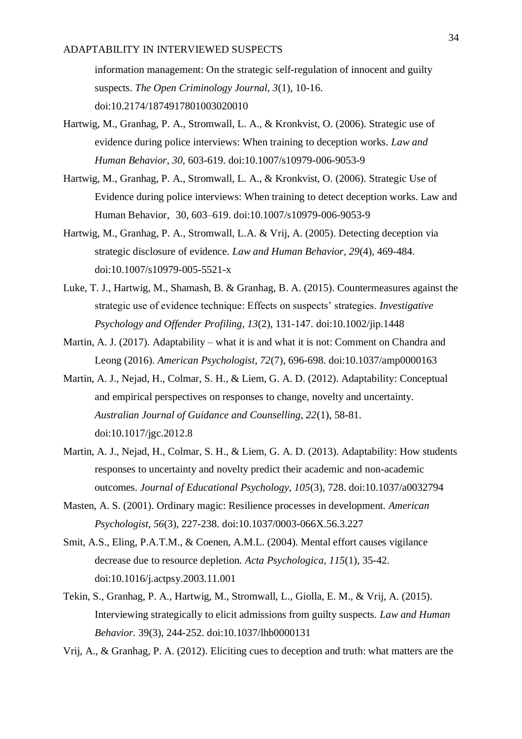information management: On the strategic self-regulation of innocent and guilty suspects. *The Open Criminology Journal, 3*(1), 10-16. doi:10.2174/1874917801003020010

- Hartwig, M., Granhag, P. A., Stromwall, L. A., & Kronkvist, O. (2006). Strategic use of evidence during police interviews: When training to deception works. *Law and Human Behavior, 30,* 603-619. doi:10.1007/s10979-006-9053-9
- Hartwig, M., Granhag, P. A., Stromwall, L. A., & Kronkvist, O. (2006). Strategic Use of Evidence during police interviews: When training to detect deception works. Law and Human Behavior, 30, 603–619. doi:10.1007/s10979-006-9053-9
- Hartwig, M., Granhag, P. A., Stromwall, L.A. & Vrij, A. (2005). Detecting deception via strategic disclosure of evidence. *Law and Human Behavior, 29*(4), 469-484. doi:10.1007/s10979-005-5521-x
- Luke, T. J., Hartwig, M., Shamash, B. & Granhag, B. A. (2015). Countermeasures against the strategic use of evidence technique: Effects on suspects' strategies. *Investigative Psychology and Offender Profiling, 13*(2), 131-147. doi:10.1002/jip.1448
- Martin, A. J. (2017). Adaptability what it is and what it is not: Comment on Chandra and Leong (2016). *American Psychologist, 72*(7), 696-698. doi:10.1037/amp0000163
- Martin, A. J., Nejad, H., Colmar, S. H., & Liem, G. A. D. (2012). Adaptability: Conceptual and empirical perspectives on responses to change, novelty and uncertainty. *Australian Journal of Guidance and Counselling, 22*(1), 58-81. doi:10.1017/jgc.2012.8
- Martin, A. J., Nejad, H., Colmar, S. H., & Liem, G. A. D. (2013). Adaptability: How students responses to uncertainty and novelty predict their academic and non-academic outcomes. *Journal of Educational Psychology, 105*(3), 728. doi:10.1037/a0032794
- Masten, A. S. (2001). Ordinary magic: Resilience processes in development. *American Psychologist, 56*(3), 227-238. doi:10.1037/0003-066X.56.3.227
- Smit, A.S., Eling, P.A.T.M., & Coenen, A.M.L. (2004). Mental effort causes vigilance decrease due to resource depletion. *Acta Psychologica*, *115*(1), 35-42. doi:10.1016/j.actpsy.2003.11.001
- Tekin, S., Granhag, P. A., Hartwig, M., Stromwall, L., Giolla, E. M., & Vrij, A. (2015). Interviewing strategically to elicit admissions from guilty suspects. *Law and Human Behavior.* 39(3), 244-252. doi:10.1037/lhb0000131
- Vrij, A., & Granhag, P. A. (2012). Eliciting cues to deception and truth: what matters are the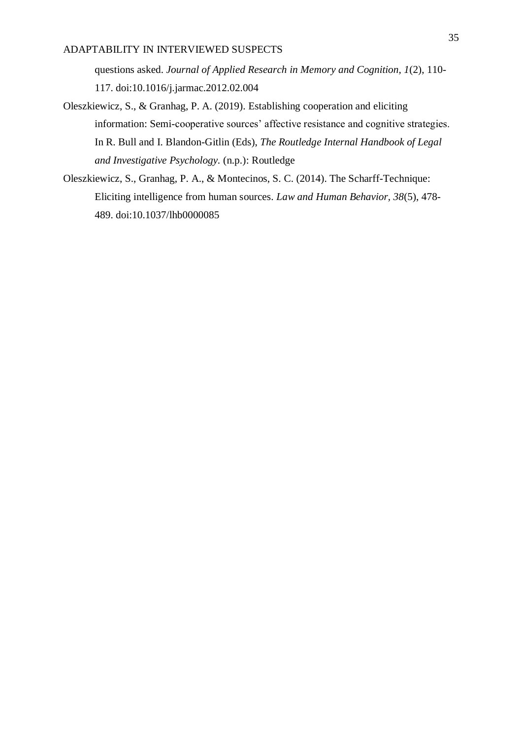questions asked. *Journal of Applied Research in Memory and Cognition, 1*(2), 110- 117. doi:10.1016/j.jarmac.2012.02.004

- Oleszkiewicz, S., & Granhag, P. A. (2019). Establishing cooperation and eliciting information: Semi-cooperative sources' affective resistance and cognitive strategies. In R. Bull and I. Blandon-Gitlin (Eds), *The Routledge Internal Handbook of Legal and Investigative Psychology.* (n.p.): Routledge
- Oleszkiewicz, S., Granhag, P. A., & Montecinos, S. C. (2014). The Scharff-Technique: Eliciting intelligence from human sources. *Law and Human Behavior, 38*(5), 478- 489. doi:10.1037/lhb0000085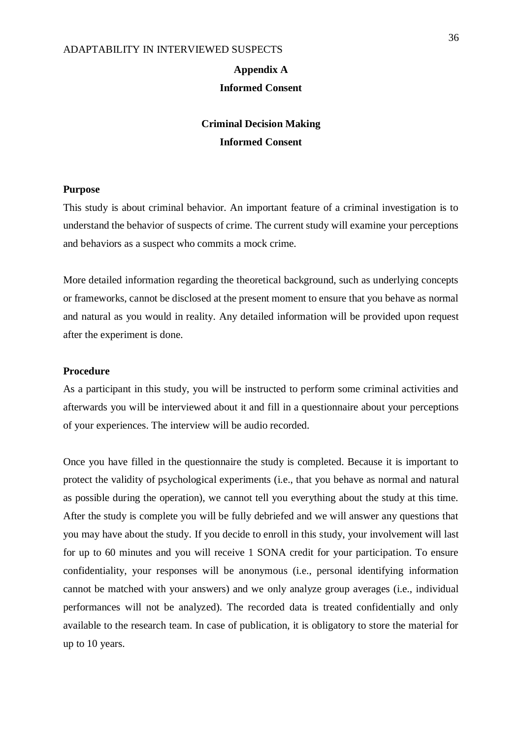# **Appendix A Informed Consent**

# **Criminal Decision Making Informed Consent**

## **Purpose**

This study is about criminal behavior. An important feature of a criminal investigation is to understand the behavior of suspects of crime. The current study will examine your perceptions and behaviors as a suspect who commits a mock crime.

More detailed information regarding the theoretical background, such as underlying concepts or frameworks, cannot be disclosed at the present moment to ensure that you behave as normal and natural as you would in reality. Any detailed information will be provided upon request after the experiment is done.

#### **Procedure**

As a participant in this study, you will be instructed to perform some criminal activities and afterwards you will be interviewed about it and fill in a questionnaire about your perceptions of your experiences. The interview will be audio recorded.

Once you have filled in the questionnaire the study is completed. Because it is important to protect the validity of psychological experiments (i.e., that you behave as normal and natural as possible during the operation), we cannot tell you everything about the study at this time. After the study is complete you will be fully debriefed and we will answer any questions that you may have about the study. If you decide to enroll in this study, your involvement will last for up to 60 minutes and you will receive 1 SONA credit for your participation. To ensure confidentiality, your responses will be anonymous (i.e., personal identifying information cannot be matched with your answers) and we only analyze group averages (i.e., individual performances will not be analyzed). The recorded data is treated confidentially and only available to the research team. In case of publication, it is obligatory to store the material for up to 10 years.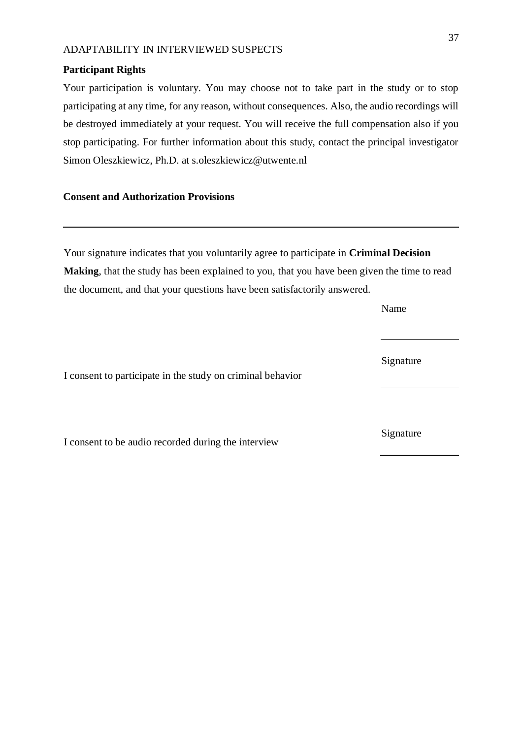#### **Participant Rights**

Your participation is voluntary. You may choose not to take part in the study or to stop participating at any time, for any reason, without consequences. Also, the audio recordings will be destroyed immediately at your request. You will receive the full compensation also if you stop participating. For further information about this study, contact the principal investigator Simon Oleszkiewicz, Ph.D. at s.oleszkiewicz@utwente.nl

## **Consent and Authorization Provisions**

Your signature indicates that you voluntarily agree to participate in **Criminal Decision Making**, that the study has been explained to you, that you have been given the time to read the document, and that your questions have been satisfactorily answered.

Name

I consent to participate in the study on criminal behavior

I consent to be audio recorded during the interview

Signature

Signature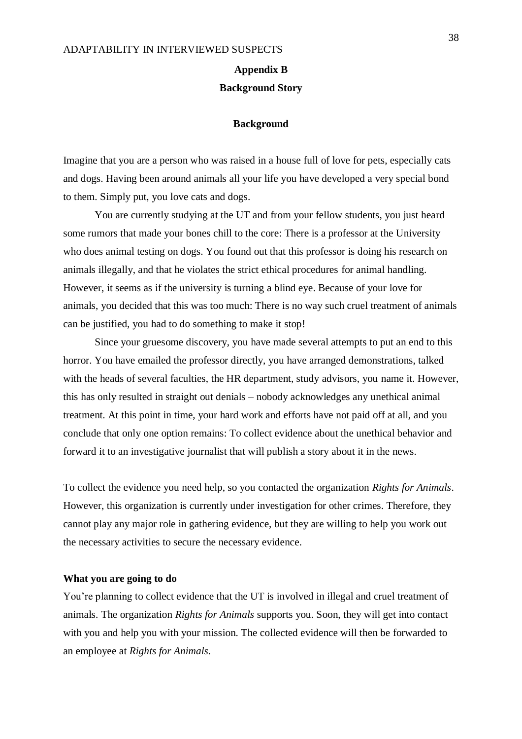# **Appendix B Background Story**

#### **Background**

Imagine that you are a person who was raised in a house full of love for pets, especially cats and dogs. Having been around animals all your life you have developed a very special bond to them. Simply put, you love cats and dogs.

You are currently studying at the UT and from your fellow students, you just heard some rumors that made your bones chill to the core: There is a professor at the University who does animal testing on dogs. You found out that this professor is doing his research on animals illegally, and that he violates the strict ethical procedures for animal handling. However, it seems as if the university is turning a blind eye. Because of your love for animals, you decided that this was too much: There is no way such cruel treatment of animals can be justified, you had to do something to make it stop!

Since your gruesome discovery, you have made several attempts to put an end to this horror. You have emailed the professor directly, you have arranged demonstrations, talked with the heads of several faculties, the HR department, study advisors, you name it. However, this has only resulted in straight out denials – nobody acknowledges any unethical animal treatment. At this point in time, your hard work and efforts have not paid off at all, and you conclude that only one option remains: To collect evidence about the unethical behavior and forward it to an investigative journalist that will publish a story about it in the news.

To collect the evidence you need help, so you contacted the organization *Rights for Animals*. However, this organization is currently under investigation for other crimes. Therefore, they cannot play any major role in gathering evidence, but they are willing to help you work out the necessary activities to secure the necessary evidence.

#### **What you are going to do**

You're planning to collect evidence that the UT is involved in illegal and cruel treatment of animals. The organization *Rights for Animals* supports you. Soon, they will get into contact with you and help you with your mission. The collected evidence will then be forwarded to an employee at *Rights for Animals.*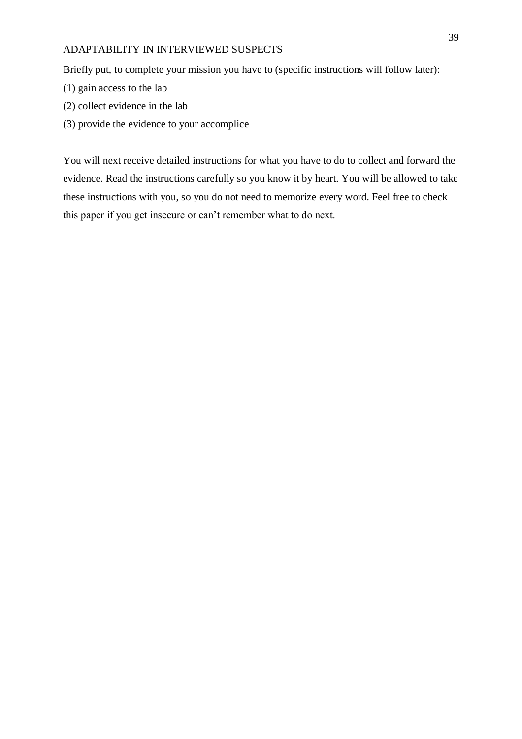Briefly put, to complete your mission you have to (specific instructions will follow later):

- (1) gain access to the lab
- (2) collect evidence in the lab
- (3) provide the evidence to your accomplice

You will next receive detailed instructions for what you have to do to collect and forward the evidence. Read the instructions carefully so you know it by heart. You will be allowed to take these instructions with you, so you do not need to memorize every word. Feel free to check this paper if you get insecure or can't remember what to do next.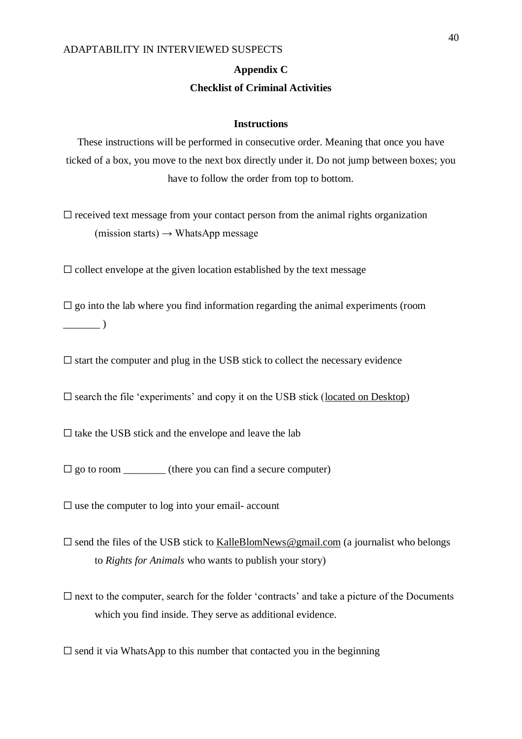## **Appendix C**

## **Checklist of Criminal Activities**

### **Instructions**

These instructions will be performed in consecutive order. Meaning that once you have ticked of a box, you move to the next box directly under it. Do not jump between boxes; you have to follow the order from top to bottom.

 $\Box$  received text message from your contact person from the animal rights organization  $(mission starts) \rightarrow WhatsApp message$ 

 $\Box$  collect envelope at the given location established by the text message

 $\square$  go into the lab where you find information regarding the animal experiments (room  $\overline{\phantom{a}}$ 

 $\square$  start the computer and plug in the USB stick to collect the necessary evidence

 $\square$  search the file 'experiments' and copy it on the USB stick (located on Desktop)

 $\square$  take the USB stick and the envelope and leave the lab

 $\Box$  go to room (there you can find a secure computer)

 $\square$  use the computer to log into your email- account

- $\square$  send the files of the USB stick to KalleBlomNews@gmail.com (a journalist who belongs to *Rights for Animals* who wants to publish your story)
- $\Box$  next to the computer, search for the folder 'contracts' and take a picture of the Documents which you find inside. They serve as additional evidence.

 $\square$  send it via WhatsApp to this number that contacted you in the beginning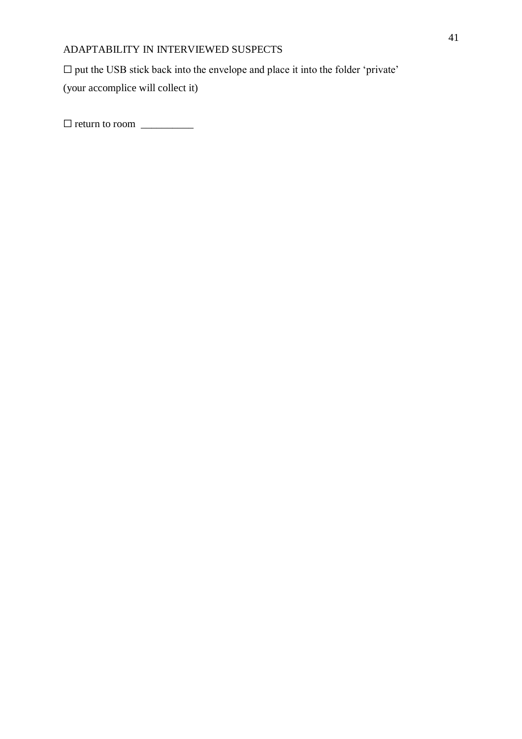$\square$  put the USB stick back into the envelope and place it into the folder 'private' (your accomplice will collect it)

 $\Box$  return to room  $\Box$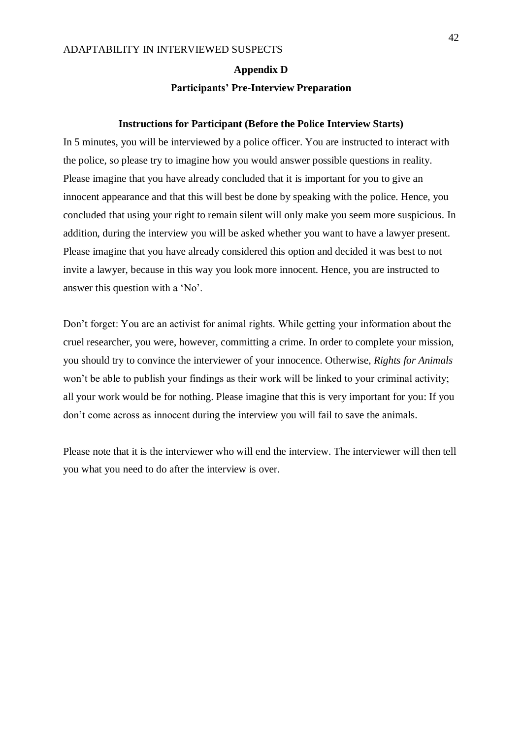## **Appendix D**

#### **Participants' Pre-Interview Preparation**

#### **Instructions for Participant (Before the Police Interview Starts)**

In 5 minutes, you will be interviewed by a police officer. You are instructed to interact with the police, so please try to imagine how you would answer possible questions in reality. Please imagine that you have already concluded that it is important for you to give an innocent appearance and that this will best be done by speaking with the police. Hence, you concluded that using your right to remain silent will only make you seem more suspicious. In addition, during the interview you will be asked whether you want to have a lawyer present. Please imagine that you have already considered this option and decided it was best to not invite a lawyer, because in this way you look more innocent. Hence, you are instructed to answer this question with a 'No'.

Don't forget: You are an activist for animal rights. While getting your information about the cruel researcher, you were, however, committing a crime. In order to complete your mission, you should try to convince the interviewer of your innocence. Otherwise, *Rights for Animals*  won't be able to publish your findings as their work will be linked to your criminal activity; all your work would be for nothing. Please imagine that this is very important for you: If you don't come across as innocent during the interview you will fail to save the animals.

Please note that it is the interviewer who will end the interview. The interviewer will then tell you what you need to do after the interview is over.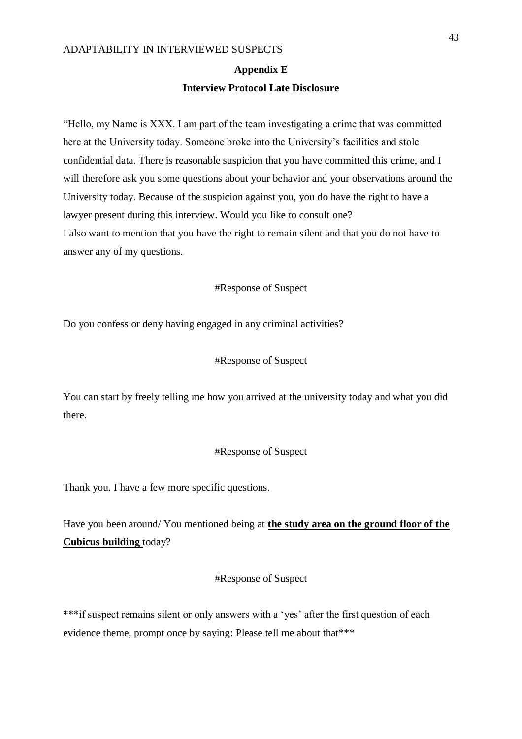#### **Appendix E**

#### **Interview Protocol Late Disclosure**

"Hello, my Name is XXX. I am part of the team investigating a crime that was committed here at the University today. Someone broke into the University's facilities and stole confidential data. There is reasonable suspicion that you have committed this crime, and I will therefore ask you some questions about your behavior and your observations around the University today. Because of the suspicion against you, you do have the right to have a lawyer present during this interview. Would you like to consult one? I also want to mention that you have the right to remain silent and that you do not have to answer any of my questions.

#### #Response of Suspect

Do you confess or deny having engaged in any criminal activities?

## #Response of Suspect

You can start by freely telling me how you arrived at the university today and what you did there.

### #Response of Suspect

Thank you. I have a few more specific questions.

Have you been around/ You mentioned being at **the study area on the ground floor of the Cubicus building** today?

### #Response of Suspect

\*\*\*if suspect remains silent or only answers with a 'yes' after the first question of each evidence theme, prompt once by saying: Please tell me about that\*\*\*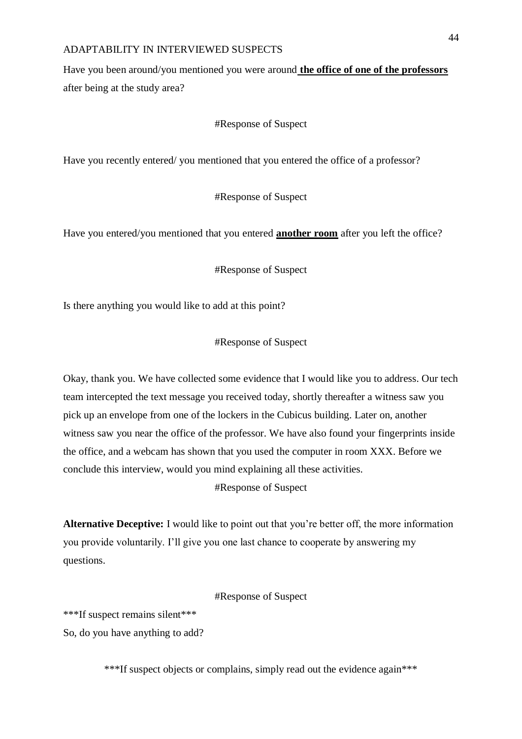Have you been around/you mentioned you were around **the office of one of the professors**  after being at the study area?

#### #Response of Suspect

Have you recently entered/ you mentioned that you entered the office of a professor?

#Response of Suspect

Have you entered/you mentioned that you entered **another room** after you left the office?

#### #Response of Suspect

Is there anything you would like to add at this point?

## #Response of Suspect

Okay, thank you. We have collected some evidence that I would like you to address. Our tech team intercepted the text message you received today, shortly thereafter a witness saw you pick up an envelope from one of the lockers in the Cubicus building. Later on, another witness saw you near the office of the professor. We have also found your fingerprints inside the office, and a webcam has shown that you used the computer in room XXX. Before we conclude this interview, would you mind explaining all these activities.

#### #Response of Suspect

**Alternative Deceptive:** I would like to point out that you're better off, the more information you provide voluntarily. I'll give you one last chance to cooperate by answering my questions.

#### #Response of Suspect

\*\*\*If suspect remains silent\*\*\* So, do you have anything to add?

\*\*\*If suspect objects or complains, simply read out the evidence again\*\*\*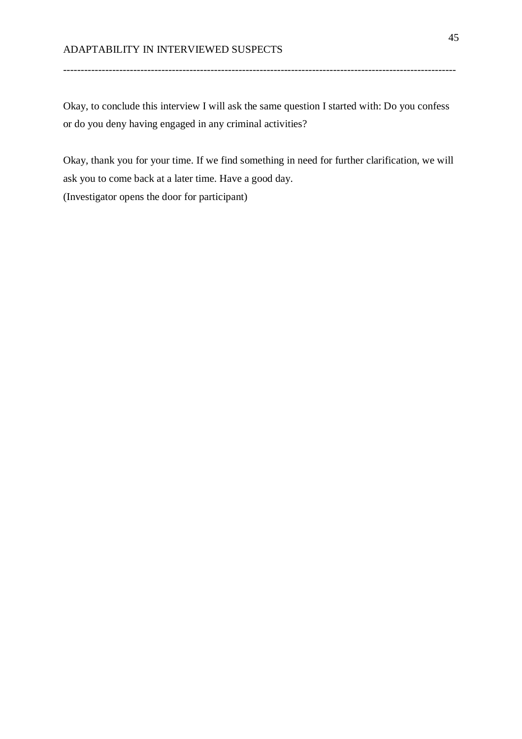Okay, to conclude this interview I will ask the same question I started with: Do you confess or do you deny having engaged in any criminal activities?

----------------------------------------------------------------------------------------------------------------

Okay, thank you for your time. If we find something in need for further clarification, we will ask you to come back at a later time. Have a good day. (Investigator opens the door for participant)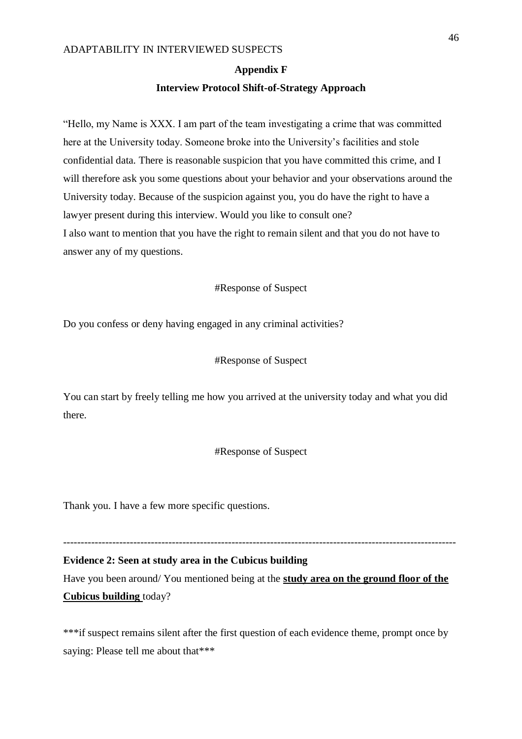#### **Appendix F**

#### **Interview Protocol Shift-of-Strategy Approach**

"Hello, my Name is XXX. I am part of the team investigating a crime that was committed here at the University today. Someone broke into the University's facilities and stole confidential data. There is reasonable suspicion that you have committed this crime, and I will therefore ask you some questions about your behavior and your observations around the University today. Because of the suspicion against you, you do have the right to have a lawyer present during this interview. Would you like to consult one? I also want to mention that you have the right to remain silent and that you do not have to answer any of my questions.

#Response of Suspect

Do you confess or deny having engaged in any criminal activities?

## #Response of Suspect

You can start by freely telling me how you arrived at the university today and what you did there.

### #Response of Suspect

Thank you. I have a few more specific questions.

## ----------------------------------------------------------------------------------------------------------------

**Evidence 2: Seen at study area in the Cubicus building** Have you been around/ You mentioned being at the **study area on the ground floor of the Cubicus building** today?

\*\*\*if suspect remains silent after the first question of each evidence theme, prompt once by saying: Please tell me about that\*\*\*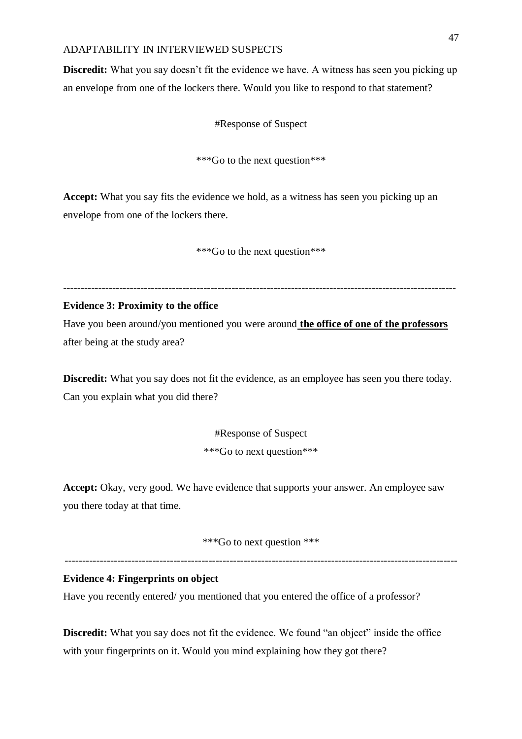**Discredit:** What you say doesn't fit the evidence we have. A witness has seen you picking up an envelope from one of the lockers there. Would you like to respond to that statement?

#Response of Suspect

\*\*\*Go to the next question\*\*\*

**Accept:** What you say fits the evidence we hold, as a witness has seen you picking up an envelope from one of the lockers there.

\*\*\*Go to the next question\*\*\*

----------------------------------------------------------------------------------------------------------------

## **Evidence 3: Proximity to the office**

Have you been around/you mentioned you were around **the office of one of the professors**  after being at the study area?

**Discredit:** What you say does not fit the evidence, as an employee has seen you there today. Can you explain what you did there?

> #Response of Suspect \*\*\*Go to next question\*\*\*

**Accept:** Okay, very good. We have evidence that supports your answer. An employee saw you there today at that time.

\*\*\*Go to next question \*\*\*

----------------------------------------------------------------------------------------------------------------

## **Evidence 4: Fingerprints on object**

Have you recently entered/ you mentioned that you entered the office of a professor?

**Discredit:** What you say does not fit the evidence. We found "an object" inside the office with your fingerprints on it. Would you mind explaining how they got there?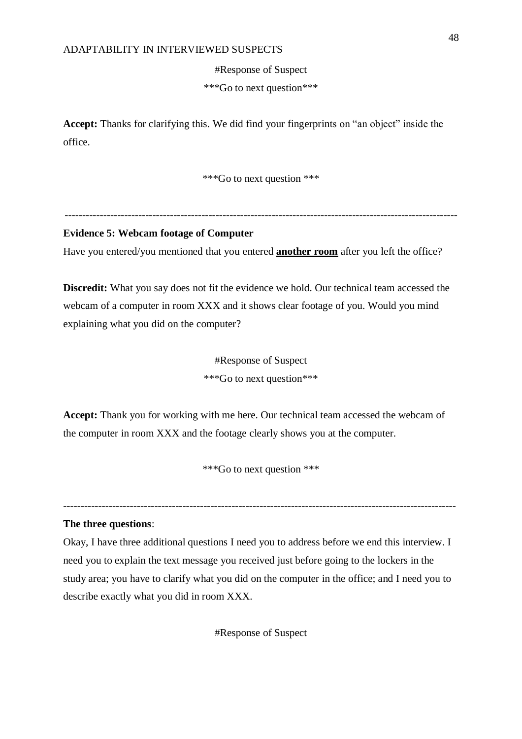#Response of Suspect

\*\*\*Go to next question\*\*\*

**Accept:** Thanks for clarifying this. We did find your fingerprints on "an object" inside the office.

\*\*\*Go to next question \*\*\*

----------------------------------------------------------------------------------------------------------------

## **Evidence 5: Webcam footage of Computer**

Have you entered/you mentioned that you entered **another room** after you left the office?

**Discredit:** What you say does not fit the evidence we hold. Our technical team accessed the webcam of a computer in room XXX and it shows clear footage of you. Would you mind explaining what you did on the computer?

> #Response of Suspect \*\*\*Go to next question\*\*\*

**Accept:** Thank you for working with me here. Our technical team accessed the webcam of the computer in room XXX and the footage clearly shows you at the computer.

\*\*\*Go to next question \*\*\*

----------------------------------------------------------------------------------------------------------------

#### **The three questions**:

Okay, I have three additional questions I need you to address before we end this interview. I need you to explain the text message you received just before going to the lockers in the study area; you have to clarify what you did on the computer in the office; and I need you to describe exactly what you did in room XXX.

#Response of Suspect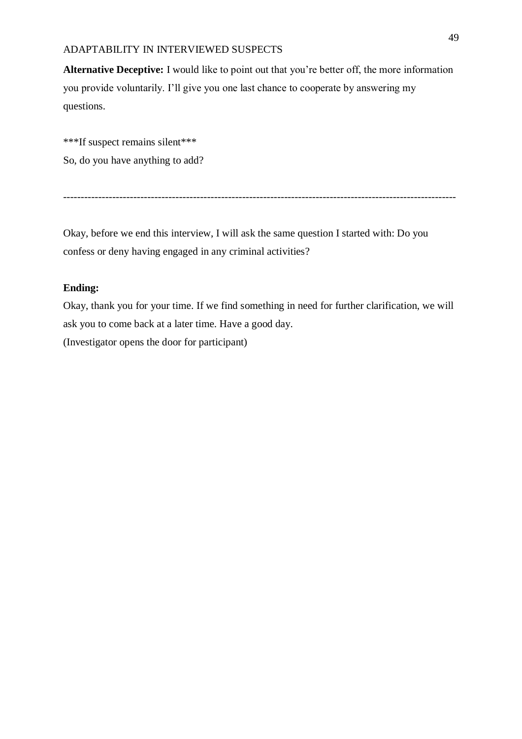**Alternative Deceptive:** I would like to point out that you're better off, the more information you provide voluntarily. I'll give you one last chance to cooperate by answering my questions.

\*\*\*If suspect remains silent\*\*\* So, do you have anything to add?

----------------------------------------------------------------------------------------------------------------

Okay, before we end this interview, I will ask the same question I started with: Do you confess or deny having engaged in any criminal activities?

## **Ending:**

Okay, thank you for your time. If we find something in need for further clarification, we will ask you to come back at a later time. Have a good day. (Investigator opens the door for participant)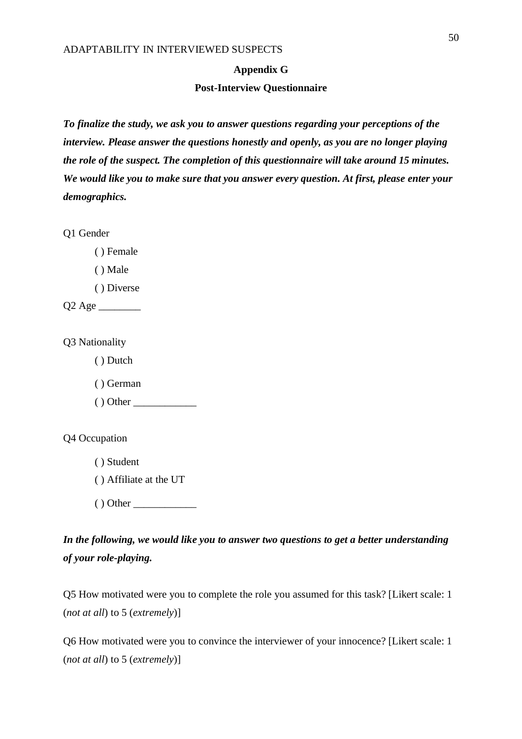#### **Appendix G**

#### **Post-Interview Questionnaire**

*To finalize the study, we ask you to answer questions regarding your perceptions of the interview. Please answer the questions honestly and openly, as you are no longer playing the role of the suspect. The completion of this questionnaire will take around 15 minutes. We would like you to make sure that you answer every question. At first, please enter your demographics.*

Q1 Gender

( ) Female

( ) Male

( ) Diverse

Q2 Age \_\_\_\_\_\_\_\_

Q3 Nationality

( ) Dutch

( ) German

( ) Other \_\_\_\_\_\_\_\_\_\_\_\_

Q4 Occupation

( ) Student

( ) Affiliate at the UT

( ) Other \_\_\_\_\_\_\_\_\_\_\_\_

*In the following, we would like you to answer two questions to get a better understanding of your role-playing.*

Q5 How motivated were you to complete the role you assumed for this task? [Likert scale: 1 (*not at all*) to 5 (*extremely*)]

Q6 How motivated were you to convince the interviewer of your innocence? [Likert scale: 1 (*not at all*) to 5 (*extremely*)]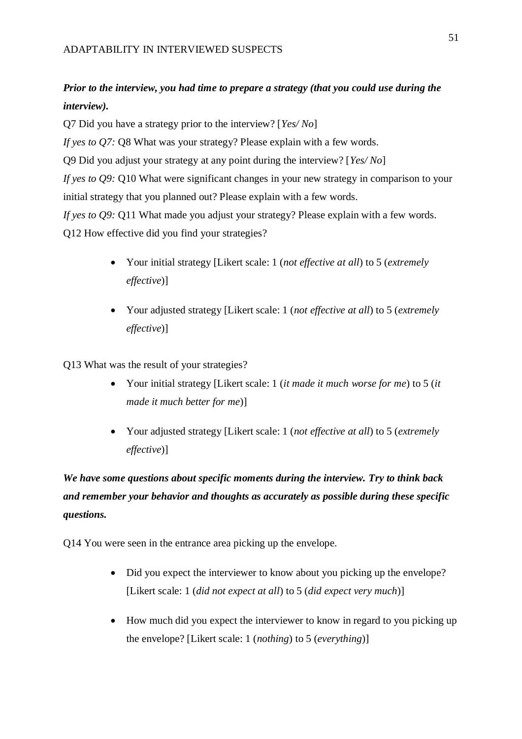# *Prior to the interview, you had time to prepare a strategy (that you could use during the interview).*

Q7 Did you have a strategy prior to the interview? [*Yes/ No*] *If yes to Q7:* Q8 What was your strategy? Please explain with a few words. Q9 Did you adjust your strategy at any point during the interview? [*Yes/ No*] *If yes to Q9:* Q10 What were significant changes in your new strategy in comparison to your initial strategy that you planned out? Please explain with a few words. *If yes to Q9*: Q11 What made you adjust your strategy? Please explain with a few words. Q12 How effective did you find your strategies?

- Your initial strategy [Likert scale: 1 (*not effective at all*) to 5 (*extremely effective*)]
- Your adjusted strategy [Likert scale: 1 (*not effective at all*) to 5 (*extremely effective*)]

Q13 What was the result of your strategies?

- Your initial strategy [Likert scale: 1 (*it made it much worse for me*) to 5 (*it made it much better for me*)]
- Your adjusted strategy [Likert scale: 1 (*not effective at all*) to 5 (*extremely effective*)]

# *We have some questions about specific moments during the interview. Try to think back and remember your behavior and thoughts as accurately as possible during these specific questions.*

Q14 You were seen in the entrance area picking up the envelope.

- Did you expect the interviewer to know about you picking up the envelope? [Likert scale: 1 (*did not expect at all*) to 5 (*did expect very much*)]
- How much did you expect the interviewer to know in regard to you picking up the envelope? [Likert scale: 1 (*nothing*) to 5 (*everything*)]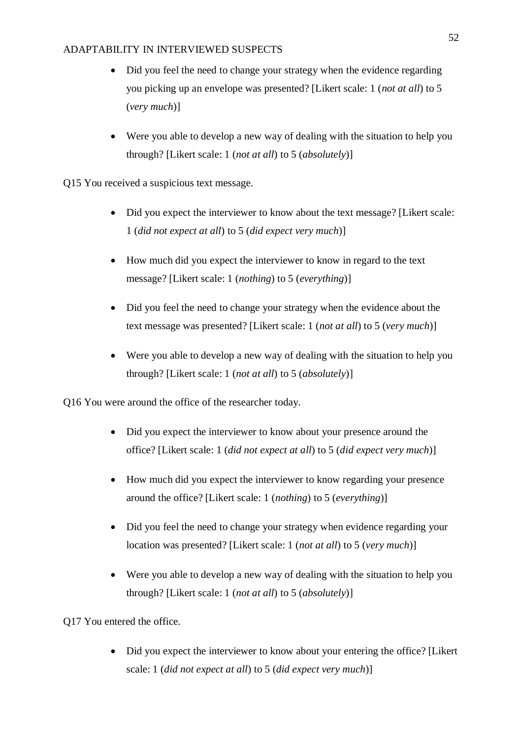- Did you feel the need to change your strategy when the evidence regarding you picking up an envelope was presented? [Likert scale: 1 (*not at all*) to 5 (*very much*)]
- Were you able to develop a new way of dealing with the situation to help you through? [Likert scale: 1 (*not at all*) to 5 (*absolutely*)]
- Q15 You received a suspicious text message.
	- Did you expect the interviewer to know about the text message? [Likert scale: 1 (*did not expect at all*) to 5 (*did expect very much*)]
	- How much did you expect the interviewer to know in regard to the text message? [Likert scale: 1 (*nothing*) to 5 (*everything*)]
	- Did you feel the need to change your strategy when the evidence about the text message was presented? [Likert scale: 1 (*not at all*) to 5 (*very much*)]
	- Were you able to develop a new way of dealing with the situation to help you through? [Likert scale: 1 (*not at all*) to 5 (*absolutely*)]

Q16 You were around the office of the researcher today.

- Did you expect the interviewer to know about your presence around the office? [Likert scale: 1 (*did not expect at all*) to 5 (*did expect very much*)]
- How much did you expect the interviewer to know regarding your presence around the office? [Likert scale: 1 (*nothing*) to 5 (*everything*)]
- Did you feel the need to change your strategy when evidence regarding your location was presented? [Likert scale: 1 (*not at all*) to 5 (*very much*)]
- Were you able to develop a new way of dealing with the situation to help you through? [Likert scale: 1 (*not at all*) to 5 (*absolutely*)]

Q17 You entered the office.

• Did you expect the interviewer to know about your entering the office? [Likert] scale: 1 (*did not expect at all*) to 5 (*did expect very much*)]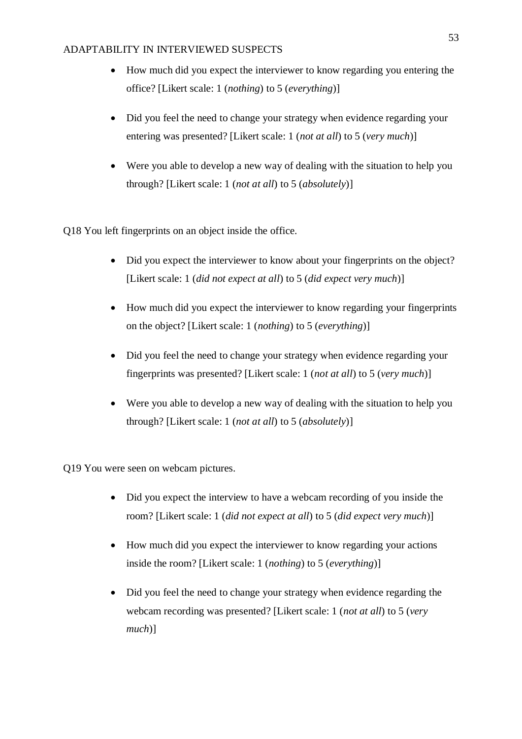- How much did you expect the interviewer to know regarding you entering the office? [Likert scale: 1 (*nothing*) to 5 (*everything*)]
- Did you feel the need to change your strategy when evidence regarding your entering was presented? [Likert scale: 1 (*not at all*) to 5 (*very much*)]
- Were you able to develop a new way of dealing with the situation to help you through? [Likert scale: 1 (*not at all*) to 5 (*absolutely*)]

Q18 You left fingerprints on an object inside the office.

- Did you expect the interviewer to know about your fingerprints on the object? [Likert scale: 1 (*did not expect at all*) to 5 (*did expect very much*)]
- How much did you expect the interviewer to know regarding your fingerprints on the object? [Likert scale: 1 (*nothing*) to 5 (*everything*)]
- Did you feel the need to change your strategy when evidence regarding your fingerprints was presented? [Likert scale: 1 (*not at all*) to 5 (*very much*)]
- Were you able to develop a new way of dealing with the situation to help you through? [Likert scale: 1 (*not at all*) to 5 (*absolutely*)]

Q19 You were seen on webcam pictures.

- Did you expect the interview to have a webcam recording of you inside the room? [Likert scale: 1 (*did not expect at all*) to 5 (*did expect very much*)]
- How much did you expect the interviewer to know regarding your actions inside the room? [Likert scale: 1 (*nothing*) to 5 (*everything*)]
- Did you feel the need to change your strategy when evidence regarding the webcam recording was presented? [Likert scale: 1 (*not at all*) to 5 (*very much*)]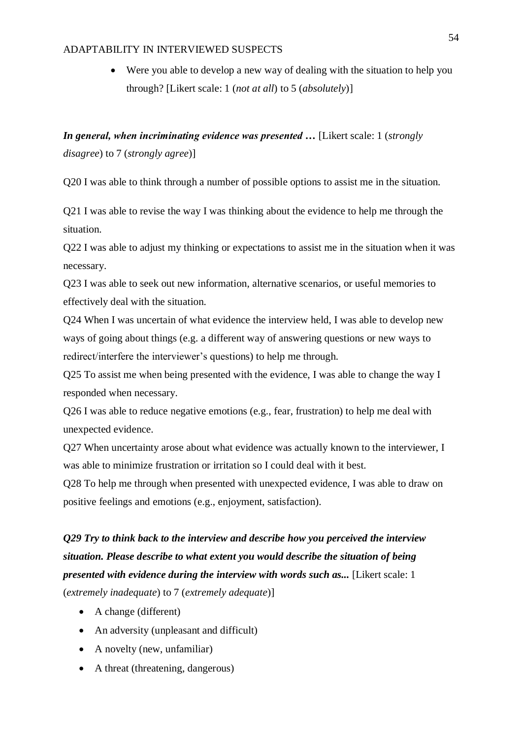• Were you able to develop a new way of dealing with the situation to help you through? [Likert scale: 1 (*not at all*) to 5 (*absolutely*)]

# *In general, when incriminating evidence was presented …* [Likert scale: 1 (*strongly disagree*) to 7 (*strongly agree*)]

Q20 I was able to think through a number of possible options to assist me in the situation.

Q21 I was able to revise the way I was thinking about the evidence to help me through the situation.

Q22 I was able to adjust my thinking or expectations to assist me in the situation when it was necessary.

Q23 I was able to seek out new information, alternative scenarios, or useful memories to effectively deal with the situation.

Q24 When I was uncertain of what evidence the interview held, I was able to develop new ways of going about things (e.g. a different way of answering questions or new ways to redirect/interfere the interviewer's questions) to help me through.

Q25 To assist me when being presented with the evidence, I was able to change the way I responded when necessary.

Q26 I was able to reduce negative emotions (e.g., fear, frustration) to help me deal with unexpected evidence.

Q27 When uncertainty arose about what evidence was actually known to the interviewer, I was able to minimize frustration or irritation so I could deal with it best.

Q28 To help me through when presented with unexpected evidence, I was able to draw on positive feelings and emotions (e.g., enjoyment, satisfaction).

# *Q29 Try to think back to the interview and describe how you perceived the interview situation. Please describe to what extent you would describe the situation of being presented with evidence during the interview with words such as...* [Likert scale: 1 (*extremely inadequate*) to 7 (*extremely adequate*)]

- A change (different)
- An adversity (unpleasant and difficult)
- A novelty (new, unfamiliar)
- A threat (threatening, dangerous)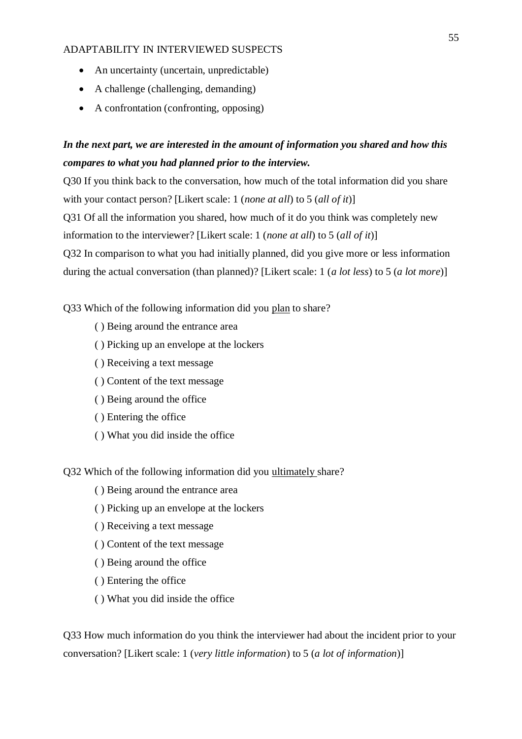- An uncertainty (uncertain, unpredictable)
- A challenge (challenging, demanding)
- A confrontation (confronting, opposing)

# *In the next part, we are interested in the amount of information you shared and how this compares to what you had planned prior to the interview.*

Q30 If you think back to the conversation, how much of the total information did you share with your contact person? [Likert scale: 1 (*none at all*) to 5 (*all of it*)] Q31 Of all the information you shared, how much of it do you think was completely new information to the interviewer? [Likert scale: 1 (*none at all*) to 5 (*all of it*)] Q32 In comparison to what you had initially planned, did you give more or less information during the actual conversation (than planned)? [Likert scale: 1 (*a lot less*) to 5 (*a lot more*)]

Q33 Which of the following information did you plan to share?

- ( ) Being around the entrance area
- ( ) Picking up an envelope at the lockers
- ( ) Receiving a text message
- ( ) Content of the text message
- ( ) Being around the office
- ( ) Entering the office
- ( ) What you did inside the office

Q32 Which of the following information did you ultimately share?

- ( ) Being around the entrance area
- ( ) Picking up an envelope at the lockers
- ( ) Receiving a text message
- ( ) Content of the text message
- ( ) Being around the office
- ( ) Entering the office
- ( ) What you did inside the office

Q33 How much information do you think the interviewer had about the incident prior to your conversation? [Likert scale: 1 (*very little information*) to 5 (*a lot of information*)]